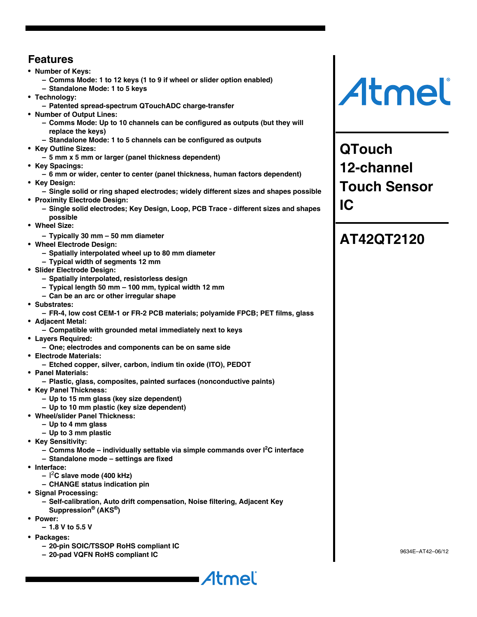# <span id="page-0-0"></span>**Features**

- **Number of Keys:**
	- **Comms Mode: 1 to 12 keys (1 to 9 if wheel or slider option enabled)**
	- **Standalone Mode: 1 to 5 keys**
- **Technology:**
	- **Patented spread-spectrum QTouchADC charge-transfer**
- **Number of Output Lines:**
	- **Comms Mode: Up to 10 channels can be configured as outputs (but they will replace the keys)**
	- **Standalone Mode: 1 to 5 channels can be configured as outputs**
- **Key Outline Sizes:**
	- **5 mm x 5 mm or larger (panel thickness dependent)**
- **Key Spacings:**
	- **6 mm or wider, center to center (panel thickness, human factors dependent)**
- **Key Design:**
- **Single solid or ring shaped electrodes; widely different sizes and shapes possible** • **Proximity Electrode Design:**
	- **Single solid electrodes; Key Design, Loop, PCB Trace different sizes and shapes possible**
- **Wheel Size:**
	- **Typically 30 mm 50 mm diameter**
- **Wheel Electrode Design:**
	- **Spatially interpolated wheel up to 80 mm diameter**
	- **Typical width of segments 12 mm**
- **Slider Electrode Design:**
	- **Spatially interpolated, resistorless design**
	- **Typical length 50 mm 100 mm, typical width 12 mm**
	- **Can be an arc or other irregular shape**
- **Substrates:**
- **FR-4, low cost CEM-1 or FR-2 PCB materials; polyamide FPCB; PET films, glass** • **Adjacent Metal:**
	- **Compatible with grounded metal immediately next to keys**
- **Layers Required:**
	- **One; electrodes and components can be on same side**
- **Electrode Materials:**
	- **Etched copper, silver, carbon, indium tin oxide (ITO), PEDOT**
- **Panel Materials:** 
	- **Plastic, glass, composites, painted surfaces (nonconductive paints)**
- **Key Panel Thickness:**
	- **Up to 15 mm glass (key size dependent)**
	- **Up to 10 mm plastic (key size dependent)**
- **Wheel/slider Panel Thickness:**
	- **Up to 4 mm glass**
	- **Up to 3 mm plastic**
- **Key Sensitivity:**
	- **Comms Mode individually settable via simple commands over I2 C interface**
	- **Standalone mode settings are fixed**
- **Interface:**
	- **–** I 2 **C slave mode (400 kHz)**
	- **CHANGE status indication pin**
- **Signal Processing:** 
	- **Self-calibration, Auto drift compensation, Noise filtering, Adjacent Key Suppression® (AKS®)**

<u>ı Atmeli</u>

- **Power:** 
	- **1.8 V to 5.5 V**
- **Packages:** 
	- **20-pin SOIC/TSSOP RoHS compliant IC**
	- **20-pad VQFN RoHS compliant IC**

# Atmel

**QTouch 12-channel Touch Sensor IC**

# **AT42QT2120**

9634E–AT42–06/12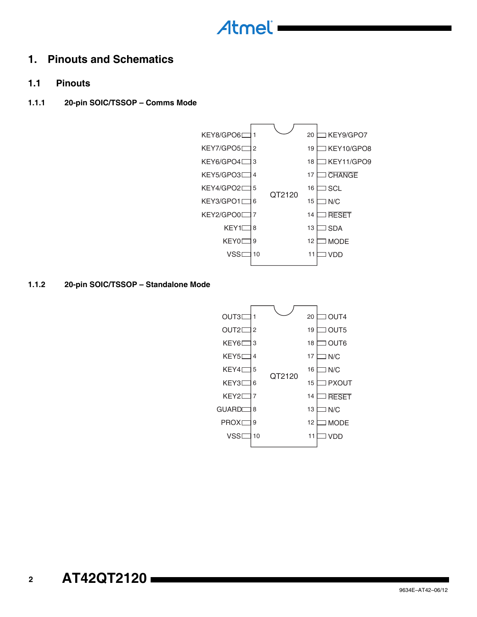

# **1. Pinouts and Schematics**

- **1.1 Pinouts**
- **1.1.1 20-pin SOIC/TSSOP Comms Mode**



**1.1.2 20-pin SOIC/TSSOP – Standalone Mode**

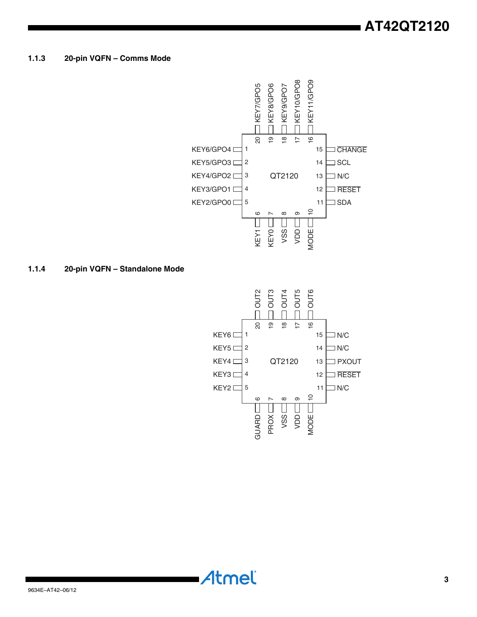#### **1.1.3 20-pin VQFN – Comms Mode**



**1.1.4 20-pin VQFN – Standalone Mode**

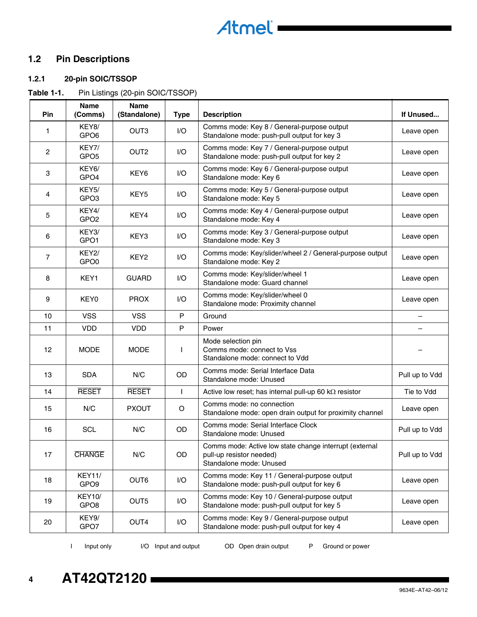# Atmel<sup>1</sup>

# **1.2 Pin Descriptions**

# **1.2.1 20-pin SOIC/TSSOP**

**Table 1-1.** Pin Listings (20-pin SOIC/TSSOP)

| Pin            | <b>Name</b><br>(Comms)                 | Name<br>(Standalone) | <b>Type</b>   | <b>Description</b>                                                                                             | If Unused      |
|----------------|----------------------------------------|----------------------|---------------|----------------------------------------------------------------------------------------------------------------|----------------|
| 1              | KEY8/<br>GPO <sub>6</sub>              | OUT <sub>3</sub>     | I/O           | Comms mode: Key 8 / General-purpose output<br>Standalone mode: push-pull output for key 3                      | Leave open     |
| $\overline{c}$ | KEY7/<br>GPO <sub>5</sub>              | OUT <sub>2</sub>     | I/O           | Comms mode: Key 7 / General-purpose output<br>Standalone mode: push-pull output for key 2                      | Leave open     |
| 3              | KEY <sub>6</sub> /<br>GPO <sub>4</sub> | KEY <sub>6</sub>     | I/O           | Comms mode: Key 6 / General-purpose output<br>Standalone mode: Key 6                                           | Leave open     |
| 4              | KEY5/<br>GPO3                          | KEY <sub>5</sub>     | I/O           | Comms mode: Key 5 / General-purpose output<br>Standalone mode: Key 5                                           | Leave open     |
| 5              | KEY4/<br>GPO <sub>2</sub>              | KEY4                 | I/O           | Comms mode: Key 4 / General-purpose output<br>Standalone mode: Key 4                                           | Leave open     |
| 6              | KEY3/<br>GPO1                          | KEY3                 | I/O           | Comms mode: Key 3 / General-purpose output<br>Standalone mode: Key 3                                           | Leave open     |
| $\overline{7}$ | KEY2/<br>GPO <sub>0</sub>              | KEY <sub>2</sub>     | I/O           | Comms mode: Key/slider/wheel 2 / General-purpose output<br>Standalone mode: Key 2                              | Leave open     |
| 8              | KEY1                                   | <b>GUARD</b>         | I/O           | Comms mode: Key/slider/wheel 1<br>Standalone mode: Guard channel                                               | Leave open     |
| 9              | KEY0                                   | <b>PROX</b>          | I/O           | Comms mode: Key/slider/wheel 0<br>Standalone mode: Proximity channel                                           | Leave open     |
| 10             | <b>VSS</b>                             | <b>VSS</b>           | P             | Ground                                                                                                         |                |
| 11             | <b>VDD</b>                             | <b>VDD</b>           | P             | Power                                                                                                          | -              |
| 12             | <b>MODE</b>                            | <b>MODE</b>          | <sup>1</sup>  | Mode selection pin<br>Comms mode: connect to Vss<br>Standalone mode: connect to Vdd                            |                |
| 13             | <b>SDA</b>                             | N/C                  | OD            | Comms mode: Serial Interface Data<br>Standalone mode: Unused                                                   | Pull up to Vdd |
| 14             | <b>RESET</b>                           | <b>RESET</b>         | $\mathbf{I}$  | Active low reset; has internal pull-up 60 $k\Omega$ resistor                                                   | Tie to Vdd     |
| 15             | N/C                                    | <b>PXOUT</b>         | $\circ$       | Comms mode: no connection<br>Standalone mode: open drain output for proximity channel                          | Leave open     |
| 16             | <b>SCL</b>                             | N/C                  | OD            | Comms mode: Serial Interface Clock<br>Standalone mode: Unused                                                  | Pull up to Vdd |
| 17             | <b>CHANGE</b>                          | N/C                  | $\mathsf{OD}$ | Comms mode: Active low state change interrupt (external<br>pull-up resistor needed)<br>Standalone mode: Unused | Pull up to Vdd |
| 18             | <b>KEY11/</b><br>GPO <sub>9</sub>      | OUT6                 | I/O           | Comms mode: Key 11 / General-purpose output<br>Standalone mode: push-pull output for key 6                     | Leave open     |
| 19             | <b>KEY10/</b><br>GPO8                  | OUT <sub>5</sub>     | I/O           | Comms mode: Key 10 / General-purpose output<br>Standalone mode: push-pull output for key 5                     | Leave open     |
| 20             | KEY9/<br>GPO7                          | OUT4                 | I/O           | Comms mode: Key 9 / General-purpose output<br>Standalone mode: push-pull output for key 4                      | Leave open     |

I Input only I/O Input and output OD Open drain output P Ground or power

**4 AT42QT2120**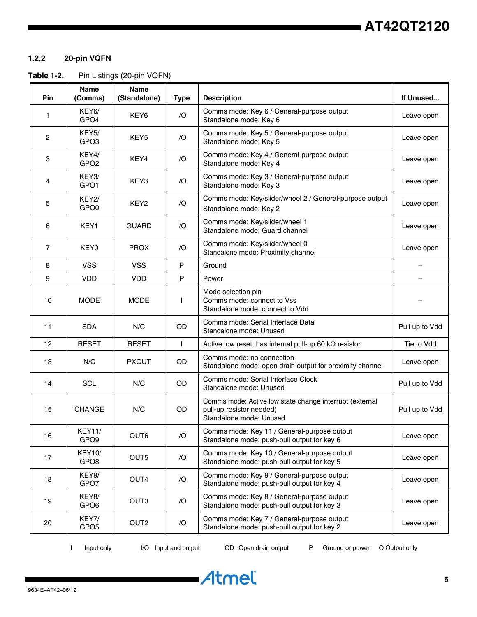#### **1.2.2 20-pin VQFN**

Table 1-2. Pin Listings (20-pin VQFN)

| Pin            | <b>Name</b><br>(Comms)                 | <b>Name</b><br>(Standalone) | <b>Type</b>  | <b>Description</b>                                                                                             | If Unused      |
|----------------|----------------------------------------|-----------------------------|--------------|----------------------------------------------------------------------------------------------------------------|----------------|
| 1              | KEY <sub>6</sub> /<br>GPO <sub>4</sub> | KEY <sub>6</sub>            | I/O          | Comms mode: Key 6 / General-purpose output<br>Standalone mode: Key 6                                           | Leave open     |
| 2              | KEY5/<br>GPO3                          | KEY5                        | 1/O          | Comms mode: Key 5 / General-purpose output<br>Standalone mode: Key 5                                           | Leave open     |
| 3              | KEY4/<br>GPO <sub>2</sub>              | KEY4                        | I/O          | Comms mode: Key 4 / General-purpose output<br>Standalone mode: Key 4                                           | Leave open     |
| 4              | KEY3/<br>GPO <sub>1</sub>              | KEY3                        | 1/O          | Comms mode: Key 3 / General-purpose output<br>Standalone mode: Key 3                                           | Leave open     |
| 5              | KEY2/<br>GPO <sub>0</sub>              | KEY <sub>2</sub>            | I/O          | Comms mode: Key/slider/wheel 2 / General-purpose output<br>Standalone mode: Key 2                              | Leave open     |
| 6              | KEY1                                   | <b>GUARD</b>                | I/O          | Comms mode: Key/slider/wheel 1<br>Standalone mode: Guard channel                                               | Leave open     |
| $\overline{7}$ | KEY <sub>0</sub>                       | <b>PROX</b>                 | 1/O          | Comms mode: Key/slider/wheel 0<br>Standalone mode: Proximity channel                                           | Leave open     |
| 8              | <b>VSS</b>                             | <b>VSS</b>                  | $\mathsf{P}$ | Ground                                                                                                         |                |
| 9              | <b>VDD</b>                             | <b>VDD</b>                  | P            | Power                                                                                                          |                |
| 10             | <b>MODE</b>                            | <b>MODE</b>                 |              | Mode selection pin<br>Comms mode: connect to Vss<br>Standalone mode: connect to Vdd                            |                |
| 11             | <b>SDA</b>                             | N/C                         | <b>OD</b>    | Comms mode: Serial Interface Data<br>Standalone mode: Unused                                                   | Pull up to Vdd |
| 12             | <b>RESET</b>                           | <b>RESET</b>                | $\mathsf{I}$ | Active low reset; has internal pull-up 60 $k\Omega$ resistor                                                   | Tie to Vdd     |
| 13             | N/C                                    | <b>PXOUT</b>                | OD           | Comms mode: no connection<br>Standalone mode: open drain output for proximity channel                          | Leave open     |
| 14             | <b>SCL</b>                             | N/C                         | <b>OD</b>    | Comms mode: Serial Interface Clock<br>Standalone mode: Unused                                                  | Pull up to Vdd |
| 15             | <b>CHANGE</b>                          | N/C                         | <b>OD</b>    | Comms mode: Active low state change interrupt (external<br>pull-up resistor needed)<br>Standalone mode: Unused | Pull up to Vdd |
| 16             | <b>KEY11/</b><br>GPO <sub>9</sub>      | OUT6                        | I/O          | Comms mode: Key 11 / General-purpose output<br>Standalone mode: push-pull output for key 6                     | Leave open     |
| 17             | <b>KEY10/</b><br>GPO <sub>8</sub>      | OUT5                        | I/O          | Comms mode: Key 10 / General-purpose output<br>Standalone mode: push-pull output for key 5                     | Leave open     |
| 18             | KEY9/<br>GPO7                          | OUT4                        | I/O          | Comms mode: Key 9 / General-purpose output<br>Standalone mode: push-pull output for key 4                      | Leave open     |
| 19             | KEY8/<br>GPO <sub>6</sub>              | OUT <sub>3</sub>            | I/O          | Comms mode: Key 8 / General-purpose output<br>Standalone mode: push-pull output for key 3                      | Leave open     |
| 20             | KEY7/<br>GPO <sub>5</sub>              | OUT <sub>2</sub>            | I/O          | Comms mode: Key 7 / General-purpose output<br>Standalone mode: push-pull output for key 2                      | Leave open     |

I Input only I/O Input and output OD Open drain output P Ground or power O Output only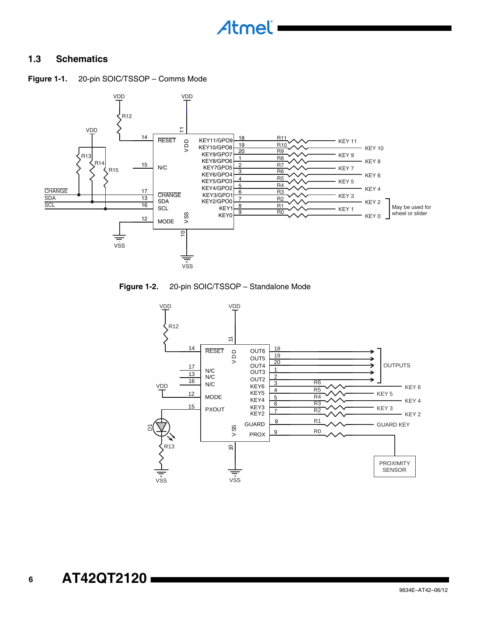# **1.3 Schematics**



**Figure 1-1.** 20-pin SOIC/TSSOP – Comms Mode





#### **6 AT42QT2120**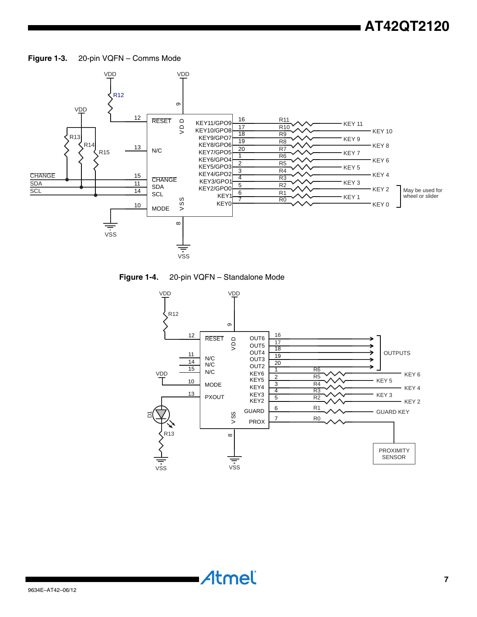**Figure 1-3.** 20-pin VQFN – Comms Mode



**Figure 1-4.** 20-pin VQFN – Standalone Mode

**Atmel** 

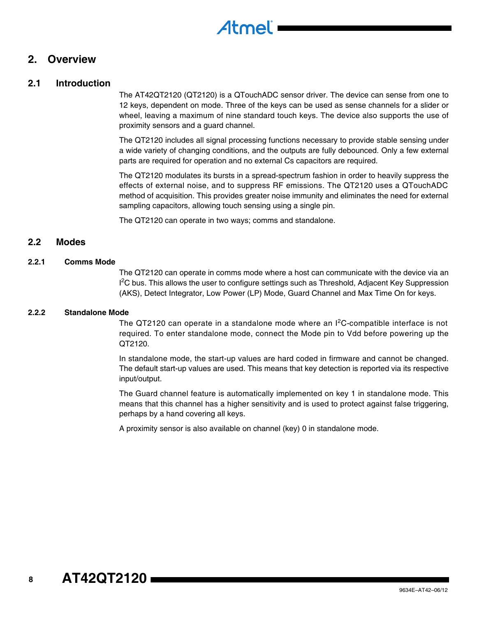

# **2. Overview**

### **2.1 Introduction**

The AT42QT2120 (QT2120) is a QTouchADC sensor driver. The device can sense from one to 12 keys, dependent on mode. Three of the keys can be used as sense channels for a slider or wheel, leaving a maximum of nine standard touch keys. The device also supports the use of proximity sensors and a guard channel.

The QT2120 includes all signal processing functions necessary to provide stable sensing under a wide variety of changing conditions, and the outputs are fully debounced. Only a few external parts are required for operation and no external Cs capacitors are required.

The QT2120 modulates its bursts in a spread-spectrum fashion in order to heavily suppress the effects of external noise, and to suppress RF emissions. The QT2120 uses a QTouchADC method of acquisition. This provides greater noise immunity and eliminates the need for external sampling capacitors, allowing touch sensing using a single pin.

The QT2120 can operate in two ways; comms and standalone.

#### **2.2 Modes**

#### **2.2.1 Comms Mode**

The QT2120 can operate in comms mode where a host can communicate with the device via an <sup>2</sup>C bus. This allows the user to configure settings such as Threshold, Adjacent Key Suppression (AKS), Detect Integrator, Low Power (LP) Mode, Guard Channel and Max Time On for keys.

#### **2.2.2 Standalone Mode**

The QT2120 can operate in a standalone mode where an  $1<sup>2</sup>C$ -compatible interface is not required. To enter standalone mode, connect the Mode pin to Vdd before powering up the QT2120.

In standalone mode, the start-up values are hard coded in firmware and cannot be changed. The default start-up values are used. This means that key detection is reported via its respective input/output.

The Guard channel feature is automatically implemented on key 1 in standalone mode. This means that this channel has a higher sensitivity and is used to protect against false triggering, perhaps by a hand covering all keys.

A proximity sensor is also available on channel (key) 0 in standalone mode.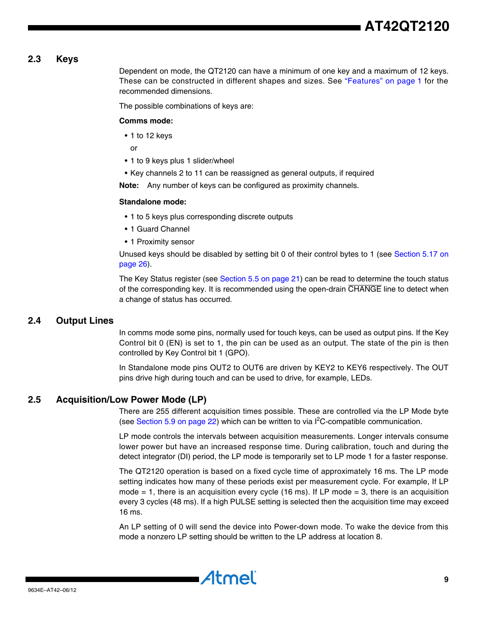**AT42QT2120**

#### **2.3 Keys**

Dependent on mode, the QT2120 can have a minimum of one key and a maximum of 12 keys. These can be constructed in different shapes and sizes. See ["Features" on page 1](#page-0-0) for the recommended dimensions.

The possible combinations of keys are:

#### **Comms mode:**

• 1 to 12 keys

or

- 1 to 9 keys plus 1 slider/wheel
- Key channels 2 to 11 can be reassigned as general outputs, if required

**Note:** Any number of keys can be configured as proximity channels.

#### **Standalone mode:**

- 1 to 5 keys plus corresponding discrete outputs
- 1 Guard Channel
- 1 Proximity sensor

Unused keys should be disabled by setting bit 0 of their control bytes to 1 (see [Section 5.17 on](#page-25-0) [page 26](#page-25-0)).

The Key Status register (see [Section 5.5 on page 21](#page-20-0)) can be read to determine the touch status of the corresponding key. It is recommended using the open-drain CHANGE line to detect when a change of status has occurred.

#### <span id="page-8-0"></span>**2.4 Output Lines**

In comms mode some pins, normally used for touch keys, can be used as output pins. If the Key Control bit 0 (EN) is set to 1, the pin can be used as an output. The state of the pin is then controlled by Key Control bit 1 (GPO).

In Standalone mode pins OUT2 to OUT6 are driven by KEY2 to KEY6 respectively. The OUT pins drive high during touch and can be used to drive, for example, LEDs.

#### **2.5 Acquisition/Low Power Mode (LP)**

There are 255 different acquisition times possible. These are controlled via the LP Mode byte (see [Section 5.9 on page 22](#page-21-0)) which can be written to via  $l^2C$ -compatible communication.

LP mode controls the intervals between acquisition measurements. Longer intervals consume lower power but have an increased response time. During calibration, touch and during the detect integrator (DI) period, the LP mode is temporarily set to LP mode 1 for a faster response.

The QT2120 operation is based on a fixed cycle time of approximately 16 ms. The LP mode setting indicates how many of these periods exist per measurement cycle. For example, If LP mode  $= 1$ , there is an acquisition every cycle (16 ms). If LP mode  $= 3$ , there is an acquisition every 3 cycles (48 ms). If a high PULSE setting is selected then the acquisition time may exceed 16 ms.

An LP setting of 0 will send the device into Power-down mode. To wake the device from this mode a nonzero LP setting should be written to the LP address at location 8.

Atmel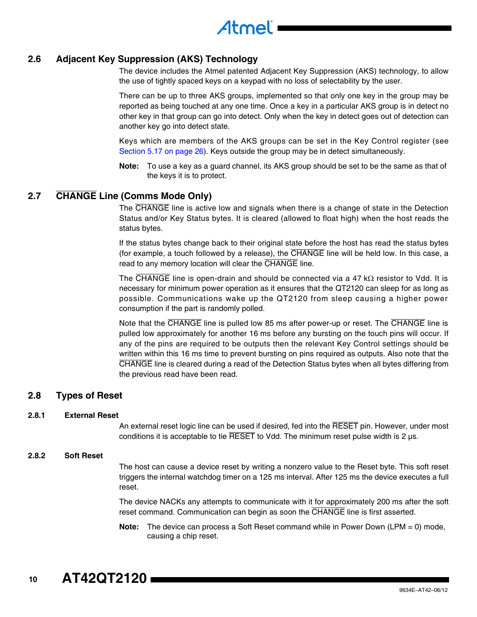# **2.6 Adjacent Key Suppression (AKS) Technology**

The device includes the Atmel patented Adjacent Key Suppression (AKS) technology, to allow the use of tightly spaced keys on a keypad with no loss of selectability by the user.

There can be up to three AKS groups, implemented so that only one key in the group may be reported as being touched at any one time. Once a key in a particular AKS group is in detect no other key in that group can go into detect. Only when the key in detect goes out of detection can another key go into detect state.

Keys which are members of the AKS groups can be set in the Key Control register (see [Section 5.17 on page 26](#page-25-0)). Keys outside the group may be in detect simultaneously.

**Note:** To use a key as a guard channel, its AKS group should be set to be the same as that of the keys it is to protect.

# **2.7 CHANGE Line (Comms Mode Only)**

The CHANGE line is active low and signals when there is a change of state in the Detection Status and/or Key Status bytes. It is cleared (allowed to float high) when the host reads the status bytes.

If the status bytes change back to their original state before the host has read the status bytes (for example, a touch followed by a release), the CHANGE line will be held low. In this case, a read to any memory location will clear the CHANGE line.

The  $\overline{\text{CHANGE}}$  line is open-drain and should be connected via a 47 k $\Omega$  resistor to Vdd. It is necessary for minimum power operation as it ensures that the QT2120 can sleep for as long as possible. Communications wake up the QT2120 from sleep causing a higher power consumption if the part is randomly polled.

Note that the CHANGE line is pulled low 85 ms after power-up or reset. The CHANGE line is pulled low approximately for another 16 ms before any bursting on the touch pins will occur. If any of the pins are required to be outputs then the relevant Key Control settings should be written within this 16 ms time to prevent bursting on pins required as outputs. Also note that the CHANGE line is cleared during a read of the Detection Status bytes when all bytes differing from the previous read have been read.

### **2.8 Types of Reset**

#### **2.8.1 External Reset**

An external reset logic line can be used if desired, fed into the RESET pin. However, under most conditions it is acceptable to tie  $\overline{\sf{RESET}}$  to Vdd. The minimum reset pulse width is 2 µs.

#### **2.8.2 Soft Reset**

The host can cause a device reset by writing a nonzero value to the Reset byte. This soft reset triggers the internal watchdog timer on a 125 ms interval. After 125 ms the device executes a full reset.

The device NACKs any attempts to communicate with it for approximately 200 ms after the soft reset command. Communication can begin as soon the CHANGE line is first asserted.

**Note:** The device can process a Soft Reset command while in Power Down (LPM = 0) mode, causing a chip reset.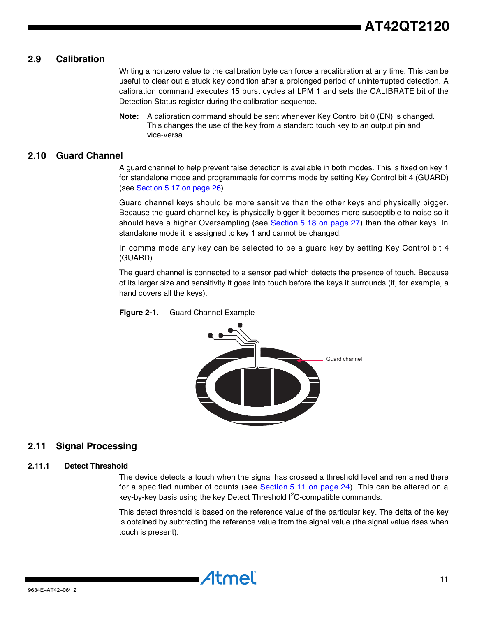### **2.9 Calibration**

Writing a nonzero value to the calibration byte can force a recalibration at any time. This can be useful to clear out a stuck key condition after a prolonged period of uninterrupted detection. A calibration command executes 15 burst cycles at LPM 1 and sets the CALIBRATE bit of the Detection Status register during the calibration sequence.

**Note:** A calibration command should be sent whenever Key Control bit 0 (EN) is changed. This changes the use of the key from a standard touch key to an output pin and vice-versa.

### **2.10 Guard Channel**

A guard channel to help prevent false detection is available in both modes. This is fixed on key 1 for standalone mode and programmable for comms mode by setting Key Control bit 4 (GUARD) (see [Section 5.17 on page 26\)](#page-25-0).

Guard channel keys should be more sensitive than the other keys and physically bigger. Because the guard channel key is physically bigger it becomes more susceptible to noise so it should have a higher Oversampling (see [Section 5.18 on page 27](#page-26-0)) than the other keys. In standalone mode it is assigned to key 1 and cannot be changed.

In comms mode any key can be selected to be a guard key by setting Key Control bit 4 (GUARD).

The guard channel is connected to a sensor pad which detects the presence of touch. Because of its larger size and sensitivity it goes into touch before the keys it surrounds (if, for example, a hand covers all the keys).





### **2.11 Signal Processing**

#### **2.11.1 Detect Threshold**

The device detects a touch when the signal has crossed a threshold level and remained there for a specified number of counts (see [Section 5.11 on page 24\)](#page-23-0). This can be altered on a key-by-key basis using the key Detect Threshold I<sup>2</sup>C-compatible commands.

This detect threshold is based on the reference value of the particular key. The delta of the key is obtained by subtracting the reference value from the signal value (the signal value rises when touch is present).

Atmel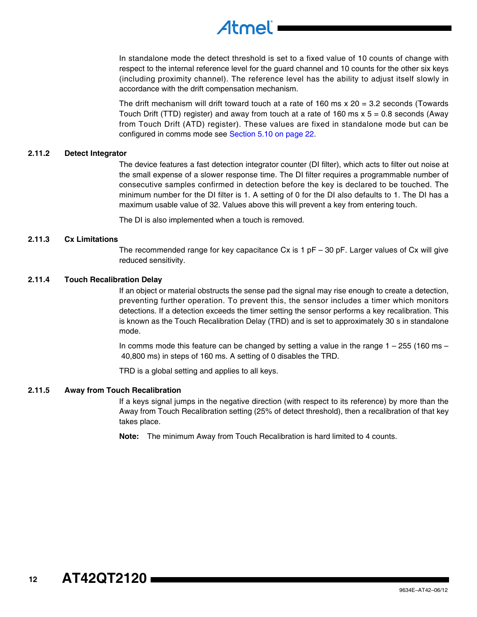In standalone mode the detect threshold is set to a fixed value of 10 counts of change with respect to the internal reference level for the guard channel and 10 counts for the other six keys (including proximity channel). The reference level has the ability to adjust itself slowly in accordance with the drift compensation mechanism.

The drift mechanism will drift toward touch at a rate of 160 ms  $x$  20 = 3.2 seconds (Towards Touch Drift (TTD) register) and away from touch at a rate of 160 ms  $x$  5 = 0.8 seconds (Away from Touch Drift (ATD) register). These values are fixed in standalone mode but can be configured in comms mode see [Section 5.10 on page 22](#page-21-1).

#### **2.11.2 Detect Integrator**

The device features a fast detection integrator counter (DI filter), which acts to filter out noise at the small expense of a slower response time. The DI filter requires a programmable number of consecutive samples confirmed in detection before the key is declared to be touched. The minimum number for the DI filter is 1. A setting of 0 for the DI also defaults to 1. The DI has a maximum usable value of 32. Values above this will prevent a key from entering touch.

The DI is also implemented when a touch is removed.

#### **2.11.3 Cx Limitations**

The recommended range for key capacitance  $Cx$  is 1 pF  $-$  30 pF. Larger values of Cx will give reduced sensitivity.

#### **2.11.4 Touch Recalibration Delay**

If an object or material obstructs the sense pad the signal may rise enough to create a detection, preventing further operation. To prevent this, the sensor includes a timer which monitors detections. If a detection exceeds the timer setting the sensor performs a key recalibration. This is known as the Touch Recalibration Delay (TRD) and is set to approximately 30 s in standalone mode.

In comms mode this feature can be changed by setting a value in the range  $1 - 255$  (160 ms – 40,800 ms) in steps of 160 ms. A setting of 0 disables the TRD.

TRD is a global setting and applies to all keys.

#### **2.11.5 Away from Touch Recalibration**

If a keys signal jumps in the negative direction (with respect to its reference) by more than the Away from Touch Recalibration setting (25% of detect threshold), then a recalibration of that key takes place.

**Note:** The minimum Away from Touch Recalibration is hard limited to 4 counts.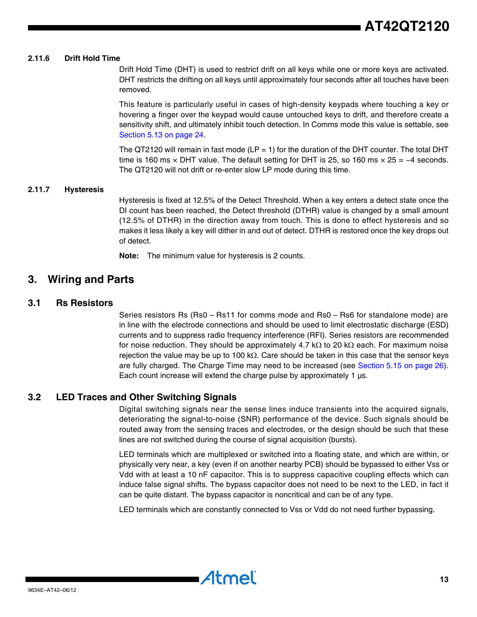#### **2.11.6 Drift Hold Time**

Drift Hold Time (DHT) is used to restrict drift on all keys while one or more keys are activated. DHT restricts the drifting on all keys until approximately four seconds after all touches have been removed.

This feature is particularly useful in cases of high-density keypads where touching a key or hovering a finger over the keypad would cause untouched keys to drift, and therefore create a sensitivity shift, and ultimately inhibit touch detection. In Comms mode this value is settable, see [Section 5.13 on page 24](#page-23-1).

The QT2120 will remain in fast mode (LP = 1) for the duration of the DHT counter. The total DHT time is 160 ms  $\times$  DHT value. The default setting for DHT is 25, so 160 ms  $\times$  25 =  $\sim$ 4 seconds. The QT2120 will not drift or re-enter slow LP mode during this time.

#### **2.11.7 Hysteresis**

Hysteresis is fixed at 12.5% of the Detect Threshold. When a key enters a detect state once the DI count has been reached, the Detect threshold (DTHR) value is changed by a small amount (12.5% of DTHR) in the direction away from touch. This is done to effect hysteresis and so makes it less likely a key will dither in and out of detect. DTHR is restored once the key drops out of detect.

**Note:** The minimum value for hysteresis is 2 counts.

# **3. Wiring and Parts**

#### **3.1 Rs Resistors**

Series resistors Rs (Rs0 – Rs11 for comms mode and Rs0 – Rs6 for standalone mode) are in line with the electrode connections and should be used to limit electrostatic discharge (ESD) currents and to suppress radio frequency interference (RFI). Series resistors are recommended for noise reduction. They should be approximately 4.7 k $\Omega$  to 20 k $\Omega$  each. For maximum noise rejection the value may be up to 100 k $\Omega$ . Care should be taken in this case that the sensor keys are fully charged. The Charge Time may need to be increased (see [Section 5.15 on page 26\)](#page-25-1). Each count increase will extend the charge pulse by approximately 1  $\mu$ s.

#### **3.2 LED Traces and Other Switching Signals**

Digital switching signals near the sense lines induce transients into the acquired signals, deteriorating the signal-to-noise (SNR) performance of the device. Such signals should be routed away from the sensing traces and electrodes, or the design should be such that these lines are not switched during the course of signal acquisition (bursts).

LED terminals which are multiplexed or switched into a floating state, and which are within, or physically very near, a key (even if on another nearby PCB) should be bypassed to either Vss or Vdd with at least a 10 nF capacitor. This is to suppress capacitive coupling effects which can induce false signal shifts. The bypass capacitor does not need to be next to the LED, in fact it can be quite distant. The bypass capacitor is noncritical and can be of any type.

LED terminals which are constantly connected to Vss or Vdd do not need further bypassing.

<u>ı Atmeli</u>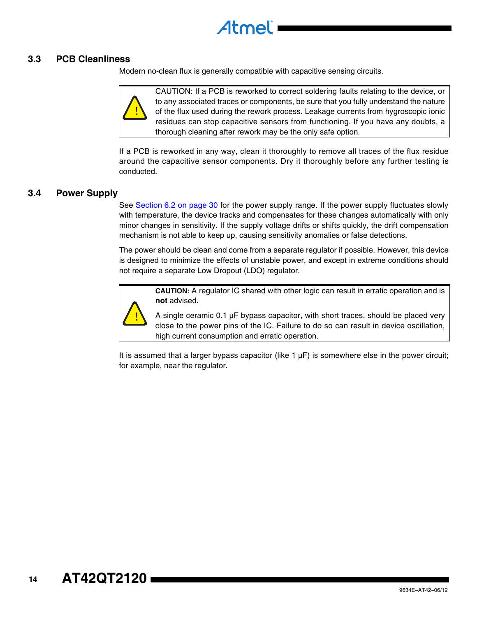

### **3.3 PCB Cleanliness**

Modern no-clean flux is generally compatible with capacitive sensing circuits.



CAUTION: If a PCB is reworked to correct soldering faults relating to the device, or to any associated traces or components, be sure that you fully understand the nature of the flux used during the rework process. Leakage currents from hygroscopic ionic residues can stop capacitive sensors from functioning. If you have any doubts, a thorough cleaning after rework may be the only safe option.

If a PCB is reworked in any way, clean it thoroughly to remove all traces of the flux residue around the capacitive sensor components. Dry it thoroughly before any further testing is conducted.

#### **3.4 Power Supply**

See [Section 6.2 on page 30](#page-29-0) for the power supply range. If the power supply fluctuates slowly with temperature, the device tracks and compensates for these changes automatically with only minor changes in sensitivity. If the supply voltage drifts or shifts quickly, the drift compensation mechanism is not able to keep up, causing sensitivity anomalies or false detections.

The power should be clean and come from a separate regulator if possible. However, this device is designed to minimize the effects of unstable power, and except in extreme conditions should not require a separate Low Dropout (LDO) regulator.



**CAUTION:** A regulator IC shared with other logic can result in erratic operation and is **not** advised.

A single ceramic 0.1 µF bypass capacitor, with short traces, should be placed very close to the power pins of the IC. Failure to do so can result in device oscillation, high current consumption and erratic operation.

It is assumed that a larger bypass capacitor (like  $1 \mu F$ ) is somewhere else in the power circuit; for example, near the regulator.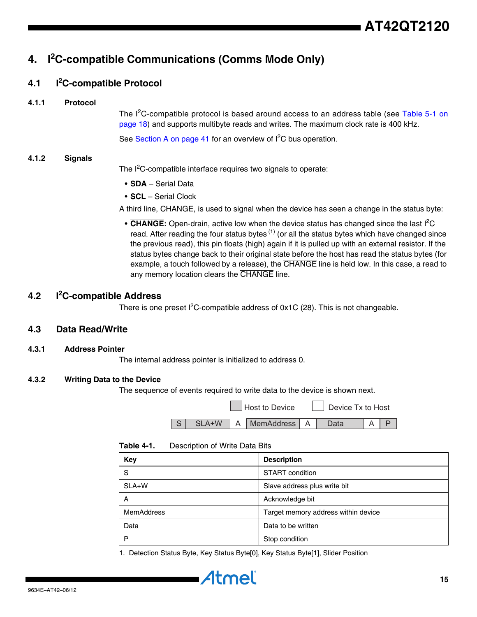# **4. I<sup>2</sup> C-compatible Communications (Comms Mode Only)**

#### **4.1 I<sup>2</sup> C-compatible Protocol**

#### **4.1.1 Protocol**

The I<sup>2</sup>C-compatible protocol is based around access to an address table (see Table [5-1 on](#page-17-0) [page](#page-17-0) 18) and supports multibyte reads and writes. The maximum clock rate is 400 kHz.

See [Section A on page 41](#page-40-0) for an overview of l<sup>2</sup>C bus operation.

#### **4.1.2 Signals**

The I<sup>2</sup>C-compatible interface requires two signals to operate:

- **SDA** Serial Data
- **SCL** Serial Clock

A third line, CHANGE, is used to signal when the device has seen a change in the status byte:

• **CHANGE:** Open-drain, active low when the device status has changed since the last I<sup>2</sup>C read. After reading the four status bytes  $(1)$  (or all the status bytes which have changed since the previous read), this pin floats (high) again if it is pulled up with an external resistor. If the status bytes change back to their original state before the host has read the status bytes (for example, a touch followed by a release), the CHANGE line is held low. In this case, a read to any memory location clears the CHANGE line.

#### **4.2 I<sup>2</sup> C-compatible Address**

There is one preset  $l^2C$ -compatible address of 0x1C (28). This is not changeable.

#### **4.3 Data Read/Write**

#### **4.3.1 Address Pointer**

The internal address pointer is initialized to address 0.

#### **4.3.2 Writing Data to the Device**

The sequence of events required to write data to the device is shown next.

|    | <b>Host to Device</b> |                                   |  |  | Device Tx to Host |  |
|----|-----------------------|-----------------------------------|--|--|-------------------|--|
| S. |                       | SLA+W   A   MemAddress   A   Data |  |  |                   |  |

#### **Table 4-1.** Description of Write Data Bits

| Key               | <b>Description</b>                  |
|-------------------|-------------------------------------|
| S                 | <b>START</b> condition              |
| $SLA+W$           | Slave address plus write bit        |
| A                 | Acknowledge bit                     |
| <b>MemAddress</b> | Target memory address within device |
| Data              | Data to be written                  |
| P                 | Stop condition                      |

1. Detection Status Byte, Key Status Byte[0], Key Status Byte[1], Slider Position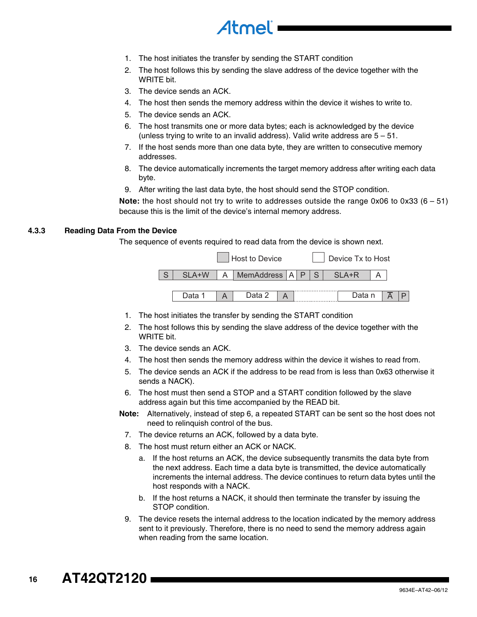

- 2. The host follows this by sending the slave address of the device together with the WRITE bit.
- 3. The device sends an ACK.
- 4. The host then sends the memory address within the device it wishes to write to.
- 5. The device sends an ACK.
- 6. The host transmits one or more data bytes; each is acknowledged by the device (unless trying to write to an invalid address). Valid write address are  $5 - 51$ .
- 7. If the host sends more than one data byte, they are written to consecutive memory addresses.
- 8. The device automatically increments the target memory address after writing each data byte.
- 9. After writing the last data byte, the host should send the STOP condition.

**Note:** the host should not try to write to addresses outside the range 0x06 to 0x33 (6 – 51) because this is the limit of the device's internal memory address.

### **4.3.3 Reading Data From the Device**

The sequence of events required to read data from the device is shown next.



- 1. The host initiates the transfer by sending the START condition
- 2. The host follows this by sending the slave address of the device together with the WRITE bit.
- 3. The device sends an ACK.
- 4. The host then sends the memory address within the device it wishes to read from.
- 5. The device sends an ACK if the address to be read from is less than 0x63 otherwise it sends a NACK).
- 6. The host must then send a STOP and a START condition followed by the slave address again but this time accompanied by the READ bit.
- **Note:** Alternatively, instead of step 6, a repeated START can be sent so the host does not need to relinquish control of the bus.
- 7. The device returns an ACK, followed by a data byte.
- 8. The host must return either an ACK or NACK.
	- a. If the host returns an ACK, the device subsequently transmits the data byte from the next address. Each time a data byte is transmitted, the device automatically increments the internal address. The device continues to return data bytes until the host responds with a NACK.
	- b. If the host returns a NACK, it should then terminate the transfer by issuing the STOP condition.
- 9. The device resets the internal address to the location indicated by the memory address sent to it previously. Therefore, there is no need to send the memory address again when reading from the same location.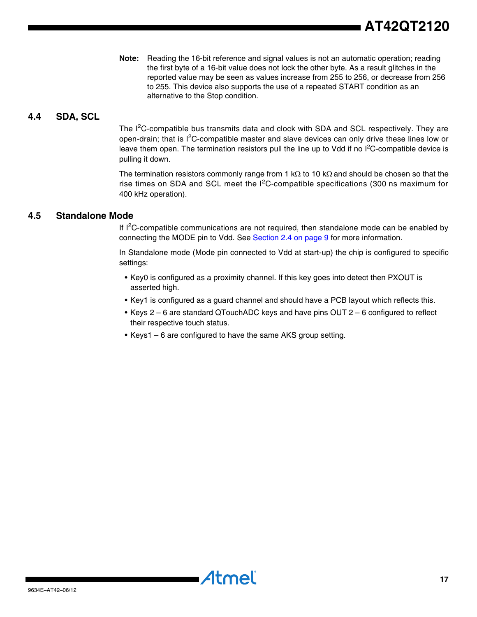**Note:** Reading the 16-bit reference and signal values is not an automatic operation; reading the first byte of a 16-bit value does not lock the other byte. As a result glitches in the reported value may be seen as values increase from 255 to 256, or decrease from 256 to 255. This device also supports the use of a repeated START condition as an alternative to the Stop condition.

# **4.4 SDA, SCL**

The I<sup>2</sup>C-compatible bus transmits data and clock with SDA and SCL respectively. They are open-drain; that is I<sup>2</sup>C-compatible master and slave devices can only drive these lines low or leave them open. The termination resistors pull the line up to Vdd if no  $l^2C$ -compatible device is pulling it down.

The termination resistors commonly range from 1 k $\Omega$  to 10 k $\Omega$  and should be chosen so that the rise times on SDA and SCL meet the  $I<sup>2</sup>C$ -compatible specifications (300 ns maximum for 400 kHz operation).

### **4.5 Standalone Mode**

If  $l^2C$ -compatible communications are not required, then standalone mode can be enabled by connecting the MODE pin to Vdd. See [Section 2.4 on page 9](#page-8-0) for more information.

In Standalone mode (Mode pin connected to Vdd at start-up) the chip is configured to specific settings:

- Key0 is configured as a proximity channel. If this key goes into detect then PXOUT is asserted high.
- Key1 is configured as a guard channel and should have a PCB layout which reflects this.
- Keys 2 6 are standard QTouchADC keys and have pins OUT 2 6 configured to reflect their respective touch status.
- Keys1 6 are configured to have the same AKS group setting.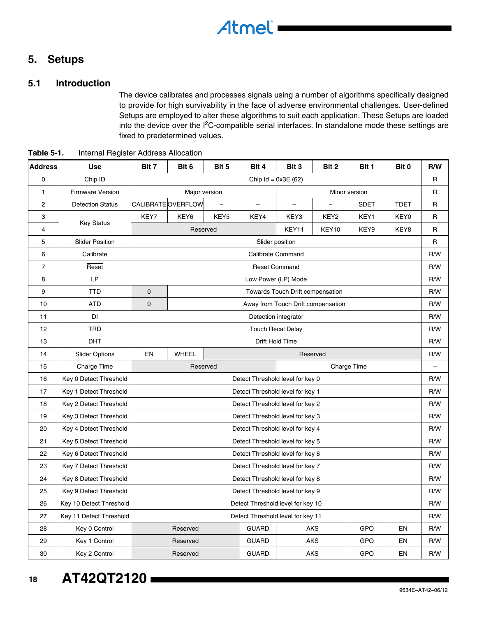

# **5. Setups**

# **5.1 Introduction**

The device calibrates and processes signals using a number of algorithms specifically designed to provide for high survivability in the face of adverse environmental challenges. User-defined Setups are employed to alter these algorithms to suit each application. These Setups are loaded into the device over the I<sup>2</sup>C-compatible serial interfaces. In standalone mode these settings are fixed to predetermined values.

| <b>Address</b> | <b>Use</b>              | Bit 7       | Bit 6                | Bit 5    | Bit 4             | Bit 3                              | Bit 2                    | Bit 1         | Bit 0       | R/W          |
|----------------|-------------------------|-------------|----------------------|----------|-------------------|------------------------------------|--------------------------|---------------|-------------|--------------|
| $\mathbf 0$    | Chip ID                 |             | Chip $Id = 0x3E(62)$ |          |                   |                                    |                          |               | R           |              |
| 1              | <b>Firmware Version</b> |             | Major version        |          |                   |                                    |                          | Minor version |             | R            |
| $\overline{2}$ | <b>Detection Status</b> |             | CALIBRATE OVERFLOW   | $\equiv$ | $\qquad \qquad -$ | $\overline{\phantom{0}}$           | $\overline{\phantom{0}}$ | <b>SDET</b>   | <b>TDET</b> | $\mathsf{R}$ |
| 3              |                         | KEY7        | KEY6                 | KEY5     | KEY4              | KEY3                               | KEY <sub>2</sub>         | KEY1          | KEY0        | R            |
| 4              | <b>Key Status</b>       |             | Reserved             |          |                   | KEY11                              | KEY10                    | KEY9          | KEY8        | R            |
| 5              | <b>Slider Position</b>  |             |                      |          |                   | Slider position                    |                          |               |             | R            |
| 6              | Calibrate               |             |                      |          |                   | Calibrate Command                  |                          |               |             | R/W          |
| 7              | Reset                   |             |                      |          |                   | <b>Reset Command</b>               |                          |               |             | R/W          |
| 8              | LP                      |             |                      |          |                   | Low Power (LP) Mode                |                          |               |             | R/W          |
| 9              | <b>TTD</b>              | $\mathbf 0$ |                      |          |                   | Towards Touch Drift compensation   |                          |               |             | R/W          |
| 10             | <b>ATD</b>              | $\mathbf 0$ |                      |          |                   | Away from Touch Drift compensation |                          |               |             | R/W          |
| 11             | DI                      |             |                      |          |                   | Detection integrator               |                          |               |             | R/W          |
| 12             | <b>TRD</b>              |             |                      |          |                   | <b>Touch Recal Delay</b>           |                          |               |             | R/W          |
| 13             | DHT                     |             |                      |          |                   | Drift Hold Time                    |                          |               |             | R/W          |
| 14             | <b>Slider Options</b>   | EN          | <b>WHEEL</b>         |          |                   |                                    | Reserved                 |               |             | R/W          |
| 15             | Charge Time             |             | Reserved             |          |                   |                                    | <b>Charge Time</b>       |               |             |              |
| 16             | Key 0 Detect Threshold  |             |                      |          |                   | Detect Threshold level for key 0   |                          |               |             | R/W          |
| 17             | Key 1 Detect Threshold  |             |                      |          |                   | Detect Threshold level for key 1   |                          |               |             | R/W          |
| 18             | Key 2 Detect Threshold  |             |                      |          |                   | Detect Threshold level for key 2   |                          |               |             | R/W          |
| 19             | Key 3 Detect Threshold  |             |                      |          |                   | Detect Threshold level for key 3   |                          |               |             | R/W          |
| 20             | Key 4 Detect Threshold  |             |                      |          |                   | Detect Threshold level for key 4   |                          |               |             | R/W          |
| 21             | Key 5 Detect Threshold  |             |                      |          |                   | Detect Threshold level for key 5   |                          |               |             | R/W          |
| 22             | Key 6 Detect Threshold  |             |                      |          |                   | Detect Threshold level for key 6   |                          |               |             | R/W          |
| 23             | Key 7 Detect Threshold  |             |                      |          |                   | Detect Threshold level for key 7   |                          |               |             | R/W          |
| 24             | Key 8 Detect Threshold  |             |                      |          |                   | Detect Threshold level for key 8   |                          |               |             | R/W          |
| 25             | Key 9 Detect Threshold  |             |                      |          |                   | Detect Threshold level for key 9   |                          |               |             | R/W          |
| 26             | Key 10 Detect Threshold |             |                      |          |                   | Detect Threshold level for key 10  |                          |               |             | R/W          |
| 27             | Key 11 Detect Threshold |             |                      |          |                   | Detect Threshold level for key 11  |                          |               |             | R/W          |
| 28             | Key 0 Control           |             | Reserved             |          | <b>GUARD</b>      |                                    | <b>AKS</b>               | GPO           | EN          | R/W          |
| 29             | Key 1 Control           |             | Reserved             |          | <b>GUARD</b>      |                                    | <b>AKS</b>               | <b>GPO</b>    | EN          | R/W          |
| 30             | Key 2 Control           |             | Reserved             |          | <b>GUARD</b>      |                                    | <b>AKS</b>               | GPO           | EN          | R/W          |

<span id="page-17-0"></span>**Table 5-1.** Internal Register Address Allocation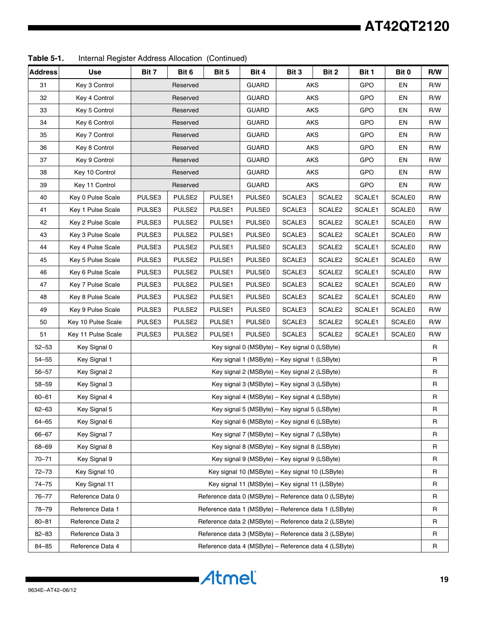**Table 5-1.** Internal Register Address Allocation (Continued)

| <b>Address</b> | <b>Use</b>         | Bit 7    | Bit 6              | Bit 5              | Bit 4                                                 | Bit 3  | Bit 2              | Bit 1      | Bit 0         | R/W |
|----------------|--------------------|----------|--------------------|--------------------|-------------------------------------------------------|--------|--------------------|------------|---------------|-----|
| 31             | Key 3 Control      |          | Reserved           |                    | <b>GUARD</b>                                          | AKS    |                    | <b>GPO</b> | EN            | R/W |
| 32             | Key 4 Control      |          | Reserved           |                    | <b>GUARD</b>                                          | AKS    |                    | GPO        | EN            | R/W |
| 33             | Key 5 Control      | Reserved |                    |                    | <b>GUARD</b>                                          | AKS    |                    | GPO        | EN            | R/W |
| 34             | Key 6 Control      | Reserved |                    |                    | <b>GUARD</b>                                          |        | <b>AKS</b>         | GPO        | EN            | R/W |
| 35             | Key 7 Control      |          | Reserved           |                    |                                                       |        | AKS                | GPO        | EN            | R/W |
| 36             | Key 8 Control      |          | Reserved           |                    |                                                       |        | AKS                | GPO        | EN            | R/W |
| 37             | Key 9 Control      |          | Reserved           |                    | <b>GUARD</b>                                          |        | AKS                | GPO        | EN            | R/W |
| 38             | Key 10 Control     |          | Reserved           |                    | <b>GUARD</b>                                          |        | AKS                | <b>GPO</b> | EN            | R/W |
| 39             | Key 11 Control     |          | Reserved           |                    | <b>GUARD</b>                                          |        | AKS                | GPO        | EN            | R/W |
| 40             | Key 0 Pulse Scale  | PULSE3   | PULSE2             | PULSE1             | <b>PULSE0</b>                                         | SCALE3 | SCALE2             | SCALE1     | <b>SCALE0</b> | R/W |
| 41             | Key 1 Pulse Scale  | PULSE3   | PULSE2             | PULSE1             | <b>PULSE0</b>                                         | SCALE3 | SCALE <sub>2</sub> | SCALE1     | <b>SCALE0</b> | R/W |
| 42             | Key 2 Pulse Scale  | PULSE3   | PULSE <sub>2</sub> | PULSE1             | <b>PULSE0</b>                                         | SCALE3 | SCALE2             | SCALE1     | <b>SCALE0</b> | R/W |
| 43             | Key 3 Pulse Scale  | PULSE3   | PULSE2             | PULSE1             | <b>PULSE0</b>                                         | SCALE3 | SCALE2             | SCALE1     | <b>SCALE0</b> | R/W |
| 44             | Key 4 Pulse Scale  | PULSE3   | PULSE2             | PULSE1             | <b>PULSE0</b>                                         | SCALE3 | SCALE2             | SCALE1     | <b>SCALE0</b> | R/W |
| 45             | Key 5 Pulse Scale  | PULSE3   | PULSE <sub>2</sub> | PULSE1             | <b>PULSE0</b>                                         | SCALE3 | SCALE2             | SCALE1     | <b>SCALE0</b> | R/W |
| 46             | Key 6 Pulse Scale  | PULSE3   | PULSE2             | PULSE1             | <b>PULSE0</b>                                         | SCALE3 | SCALE2             | SCALE1     | <b>SCALE0</b> | R/W |
| 47             | Key 7 Pulse Scale  | PULSE3   | PULSE <sub>2</sub> | PULSE1             | <b>PULSE0</b>                                         | SCALE3 | SCALE2             | SCALE1     | <b>SCALE0</b> | R/W |
| 48             | Key 8 Pulse Scale  | PULSE3   | PULSE <sub>2</sub> | PULSE1             | <b>PULSE0</b>                                         | SCALE3 | SCALE2             | SCALE1     | <b>SCALE0</b> | R/W |
| 49             | Key 9 Pulse Scale  | PULSE3   | PULSE2             | PULSE1             | <b>PULSE0</b>                                         | SCALE3 | SCALE2             | SCALE1     | <b>SCALE0</b> | R/W |
| 50             | Key 10 Pulse Scale | PULSE3   | PULSE <sub>2</sub> | PULSE1             | <b>PULSE0</b>                                         | SCALE3 | SCALE2             | SCALE1     | <b>SCALE0</b> | R/W |
| 51             | Key 11 Pulse Scale | PULSE3   | PULSE2             | PULSE <sub>1</sub> | <b>PULSE0</b>                                         | SCALE3 | SCALE2             | SCALE1     | <b>SCALE0</b> | R/W |
| $52 - 53$      | Key Signal 0       |          |                    |                    | Key signal 0 (MSByte) - Key signal 0 (LSByte)         |        |                    |            |               | R   |
| $54 - 55$      | Key Signal 1       |          |                    |                    | Key signal 1 (MSByte) – Key signal 1 (LSByte)         |        |                    |            |               | R   |
| 56–57          | Key Signal 2       |          |                    |                    | Key signal 2 (MSByte) – Key signal 2 (LSByte)         |        |                    |            |               | R   |
| 58-59          | Key Signal 3       |          |                    |                    | Key signal 3 (MSByte) - Key signal 3 (LSByte)         |        |                    |            |               | R   |
| $60 - 61$      | Key Signal 4       |          |                    |                    | Key signal 4 (MSByte) – Key signal 4 (LSByte)         |        |                    |            |               | R   |
| $62 - 63$      | Key Signal 5       |          |                    |                    | Key signal 5 (MSByte) – Key signal 5 (LSByte)         |        |                    |            |               | R   |
| $64 - 65$      | Key Signal 6       |          |                    |                    | Key signal 6 (MSByte) - Key signal 6 (LSByte)         |        |                    |            |               | R   |
| 66-67          | Key Signal 7       |          |                    |                    | Key signal 7 (MSByte) - Key signal 7 (LSByte)         |        |                    |            |               | R   |
| 68-69          | Key Signal 8       |          |                    |                    | Key signal 8 (MSByte) - Key signal 8 (LSByte)         |        |                    |            |               | R   |
| $70 - 71$      | Key Signal 9       |          |                    |                    | Key signal 9 (MSByte) - Key signal 9 (LSByte)         |        |                    |            |               | R   |
| $72 - 73$      | Key Signal 10      |          |                    |                    | Key signal 10 (MSByte) - Key signal 10 (LSByte)       |        |                    |            |               | R   |
| $74 - 75$      | Key Signal 11      |          |                    |                    | Key signal 11 (MSByte) – Key signal 11 (LSByte)       |        |                    |            |               | R   |
| 76-77          | Reference Data 0   |          |                    |                    | Reference data 0 (MSByte) - Reference data 0 (LSByte) |        |                    |            |               | R   |
| 78-79          | Reference Data 1   |          |                    |                    | Reference data 1 (MSByte) - Reference data 1 (LSByte) |        |                    |            |               | R   |
| $80 - 81$      | Reference Data 2   |          |                    |                    | Reference data 2 (MSByte) - Reference data 2 (LSByte) |        |                    |            |               | R   |
| $82 - 83$      | Reference Data 3   |          |                    |                    | Reference data 3 (MSByte) - Reference data 3 (LSByte) |        |                    |            |               | R   |
| 84-85          | Reference Data 4   |          |                    |                    | Reference data 4 (MSByte) - Reference data 4 (LSByte) |        |                    |            |               | R   |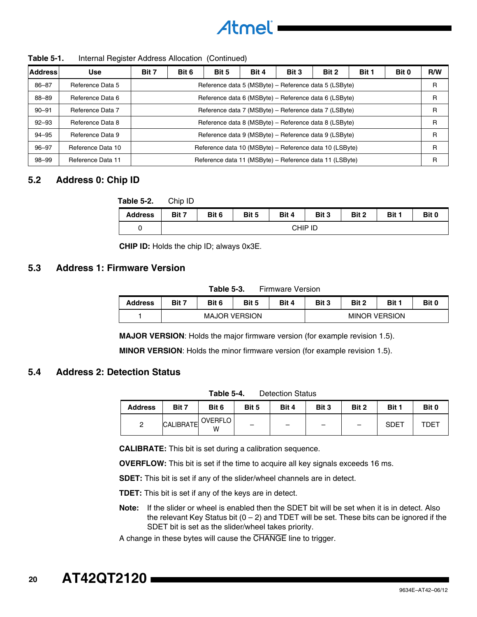

**Table 5-1.** Internal Register Address Allocation (Continued)

| <b>Address</b> | <b>Use</b>              | Bit 7                                                   | Bit 6                                                   | Bit 5 | Bit 4                                                 | Bit 3 | Bit 2 | Bit 1 | Bit 0 | R/W |
|----------------|-------------------------|---------------------------------------------------------|---------------------------------------------------------|-------|-------------------------------------------------------|-------|-------|-------|-------|-----|
| 86-87          | <b>Reference Data 5</b> |                                                         | Reference data 5 (MSByte) – Reference data 5 (LSByte)   |       |                                                       |       |       |       |       | R   |
| 88-89          | <b>Reference Data 6</b> |                                                         | Reference data 6 (MSByte) – Reference data 6 (LSByte)   |       |                                                       |       |       |       |       | R   |
| $90 - 91$      | Reference Data 7        |                                                         | Reference data 7 (MSByte) – Reference data 7 (LSByte)   |       |                                                       |       |       |       | R     |     |
| $92 - 93$      | Reference Data 8        |                                                         | Reference data 8 (MSByte) – Reference data 8 (LSByte)   |       |                                                       |       |       |       | R     |     |
| $94 - 95$      | Reference Data 9        |                                                         |                                                         |       | Reference data 9 (MSByte) – Reference data 9 (LSByte) |       |       |       |       | R   |
| $96 - 97$      | Reference Data 10       | Reference data 10 (MSByte) - Reference data 10 (LSByte) |                                                         |       |                                                       |       |       | R     |       |     |
| 98-99          | Reference Data 11       |                                                         | Reference data 11 (MSByte) – Reference data 11 (LSByte) |       |                                                       |       |       | R     |       |     |

# **5.2 Address 0: Chip ID**

| Table 5-2. | Chip ID |
|------------|---------|
|------------|---------|

| .              | ------ |       |       |       |         |       |       |       |
|----------------|--------|-------|-------|-------|---------|-------|-------|-------|
| <b>Address</b> | Bit 7  | Bit 6 | Bit 5 | Bit 4 | Bit 3   | Bit 2 | Bit 1 | Bit 0 |
|                |        |       |       |       | CHIP ID |       |       |       |

**CHIP ID:** Holds the chip ID; always 0x3E.

#### **5.3 Address 1: Firmware Version**

|            | <b>Table 5-3.</b> |              | <b>Firmware Version</b> |      |  |
|------------|-------------------|--------------|-------------------------|------|--|
| <b>DII</b> | <b>DID</b>        | <b>DIL 5</b> | <b>DIA</b>              | י יה |  |

| <b>Address</b> | Bit 7 | Bit 6 | Bit 5         | Bit 4 | Bit 3                | Bit 2 | Bit ' | Bit 0 |  |
|----------------|-------|-------|---------------|-------|----------------------|-------|-------|-------|--|
|                |       |       | MAJOR VERSION |       | <b>MINOR VERSION</b> |       |       |       |  |

**MAJOR VERSION**: Holds the major firmware version (for example revision 1.5).

**MINOR VERSION**: Holds the minor firmware version (for example revision 1.5).

### **5.4 Address 2: Detection Status**

| Table 5-4. | <b>Detection Status</b> |  |
|------------|-------------------------|--|
|            |                         |  |

| <b>Address</b> | Bit 7            | Bit 6               | Bit 5                    | Bit 4                    | Bit 3 | Bit 2                    | Bit 1       | Bit 0 |
|----------------|------------------|---------------------|--------------------------|--------------------------|-------|--------------------------|-------------|-------|
| -              | <b>CALIBRATE</b> | <b>OVERFLO</b><br>W | $\overline{\phantom{0}}$ | $\overline{\phantom{0}}$ |       | $\overline{\phantom{0}}$ | <b>SDET</b> | TDET  |

**CALIBRATE:** This bit is set during a calibration sequence.

**OVERFLOW:** This bit is set if the time to acquire all key signals exceeds 16 ms.

**SDET:** This bit is set if any of the slider/wheel channels are in detect.

**TDET:** This bit is set if any of the keys are in detect.

**Note:** If the slider or wheel is enabled then the SDET bit will be set when it is in detect. Also the relevant Key Status bit  $(0 - 2)$  and TDET will be set. These bits can be ignored if the SDET bit is set as the slider/wheel takes priority.

A change in these bytes will cause the CHANGE line to trigger.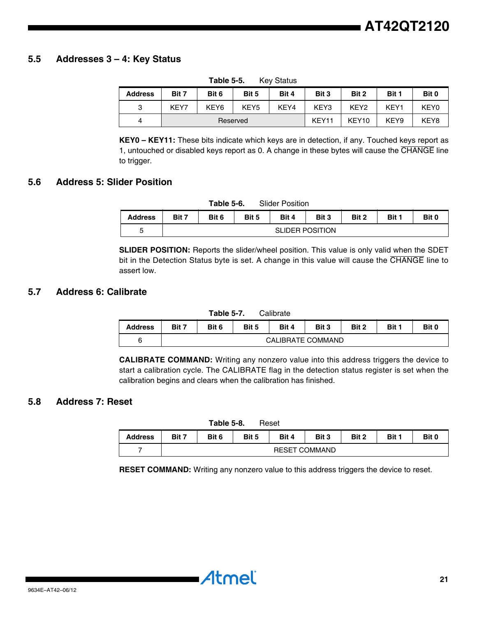### <span id="page-20-0"></span>**5.5 Addresses 3 – 4: Key Status**

| <b>Address</b> | Bit 7 | Bit 6            | Bit 5            | Bit 4 | Bit 3 | Bit 2             | Bit 1            | Bit 0            |
|----------------|-------|------------------|------------------|-------|-------|-------------------|------------------|------------------|
| 3              | KEY7  | KEY <sub>6</sub> | KEY <sub>5</sub> | KEY4  | KEY3  | KEY <sub>2</sub>  | KEY1             | KEY <sub>0</sub> |
| 4              |       |                  | Reserved         |       | KEY11 | KEY <sub>10</sub> | KEY <sub>9</sub> | KEY8             |

**Table 5-5.** Key Status

**KEY0 – KEY11:** These bits indicate which keys are in detection, if any. Touched keys report as 1, untouched or disabled keys report as 0. A change in these bytes will cause the CHANGE line to trigger.

#### **5.6 Address 5: Slider Position**

**Table 5-6.** Slider Position

| <b>Address</b> | Bit 7 | Bit 6 | Bit 5 | Bit 4 | Bit 3 | Bit 2 | Bit 1                  | Bit 0 |  |  |  |  |  |
|----------------|-------|-------|-------|-------|-------|-------|------------------------|-------|--|--|--|--|--|
| ∽              |       |       |       |       |       |       | <b>SLIDER POSITION</b> |       |  |  |  |  |  |

**SLIDER POSITION:** Reports the slider/wheel position. This value is only valid when the SDET bit in the Detection Status byte is set. A change in this value will cause the CHANGE line to assert low.

# **5.7 Address 6: Calibrate**

|                |       | Table 5-7.        |       | Calibrate |       |       |       |       |  |
|----------------|-------|-------------------|-------|-----------|-------|-------|-------|-------|--|
| <b>Address</b> | Bit 7 | Bit 6             | Bit 5 | Bit 4     | Bit 3 | Bit 2 | Bit 1 | Bit 0 |  |
| ี              |       | CALIBRATE COMMAND |       |           |       |       |       |       |  |

**CALIBRATE COMMAND:** Writing any nonzero value into this address triggers the device to start a calibration cycle. The CALIBRATE flag in the detection status register is set when the calibration begins and clears when the calibration has finished.

# **5.8 Address 7: Reset**

|                | <b>Table 5-8.</b><br>Reset |                      |       |       |       |       |       |       |  |  |  |
|----------------|----------------------------|----------------------|-------|-------|-------|-------|-------|-------|--|--|--|
| <b>Address</b> | Bit 7                      | Bit 6                | Bit 5 | Bit 4 | Bit 3 | Bit 2 | Bit 1 | Bit 0 |  |  |  |
|                |                            | <b>RESET COMMAND</b> |       |       |       |       |       |       |  |  |  |

**RESET COMMAND:** Writing any nonzero value to this address triggers the device to reset.

• Atmel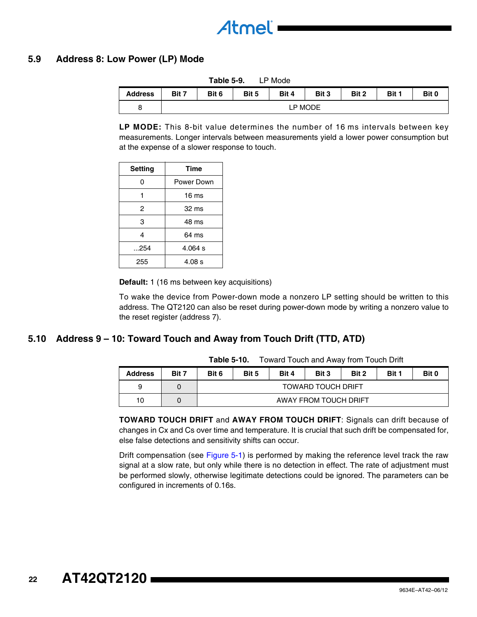# <span id="page-21-0"></span>**5.9 Address 8: Low Power (LP) Mode**

| <b>Table 5-9.</b><br>LP Mode |         |       |       |       |       |       |       |       |  |  |
|------------------------------|---------|-------|-------|-------|-------|-------|-------|-------|--|--|
| <b>Address</b>               | Bit 7   | Bit 6 | Bit 5 | Bit 4 | Bit 3 | Bit 2 | Bit 1 | Bit 0 |  |  |
| 8                            | LP MODE |       |       |       |       |       |       |       |  |  |

**LP MODE:** This 8-bit value determines the number of 16 ms intervals between key measurements. Longer intervals between measurements yield a lower power consumption but at the expense of a slower response to touch.

| <b>Setting</b> | <b>Time</b>      |
|----------------|------------------|
| 0              | Power Down       |
|                | 16 <sub>ms</sub> |
| 2              | $32 \text{ ms}$  |
| 3              | 48 ms            |
| 4              | 64 ms            |
| 254            | 4.064 s          |
| 255            | 4.08 s           |

**Default:** 1 (16 ms between key acquisitions)

To wake the device from Power-down mode a nonzero LP setting should be written to this address. The QT2120 can also be reset during power-down mode by writing a nonzero value to the reset register (address 7).

# <span id="page-21-1"></span>**5.10 Address 9 – 10: Toward Touch and Away from Touch Drift (TTD, ATD)**

**Table 5-10.** Toward Touch and Away from Touch Drift

| <b>Address</b> | Bit 7 | Bit 6 | Bit 5                     | Bit 4 | Bit 3 | Bit 2 | Bit 1 | Bit 0 |  |
|----------------|-------|-------|---------------------------|-------|-------|-------|-------|-------|--|
| 9              |       |       | <b>TOWARD TOUCH DRIFT</b> |       |       |       |       |       |  |
| 10             |       |       | AWAY FROM TOUCH DRIFT     |       |       |       |       |       |  |

**TOWARD TOUCH DRIFT** and **AWAY FROM TOUCH DRIFT**: Signals can drift because of changes in Cx and Cs over time and temperature. It is crucial that such drift be compensated for, else false detections and sensitivity shifts can occur.

Drift compensation (see [Figure 5-1](#page-22-0)) is performed by making the reference level track the raw signal at a slow rate, but only while there is no detection in effect. The rate of adjustment must be performed slowly, otherwise legitimate detections could be ignored. The parameters can be configured in increments of 0.16s.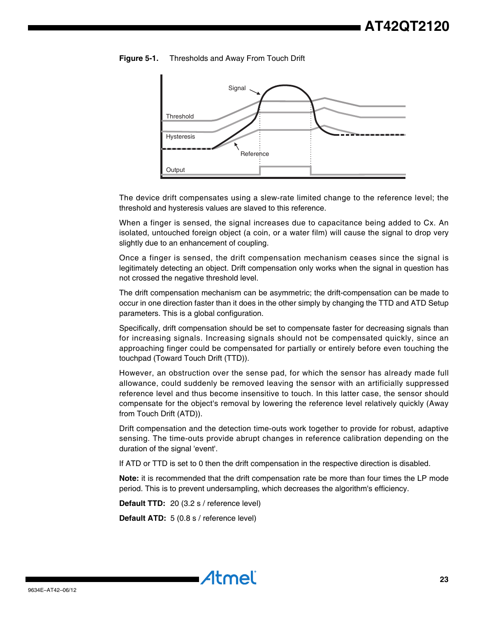<span id="page-22-0"></span>



The device drift compensates using a slew-rate limited change to the reference level; the threshold and hysteresis values are slaved to this reference.

When a finger is sensed, the signal increases due to capacitance being added to Cx. An isolated, untouched foreign object (a coin, or a water film) will cause the signal to drop very slightly due to an enhancement of coupling.

Once a finger is sensed, the drift compensation mechanism ceases since the signal is legitimately detecting an object. Drift compensation only works when the signal in question has not crossed the negative threshold level.

The drift compensation mechanism can be asymmetric; the drift-compensation can be made to occur in one direction faster than it does in the other simply by changing the TTD and ATD Setup parameters. This is a global configuration.

Specifically, drift compensation should be set to compensate faster for decreasing signals than for increasing signals. Increasing signals should not be compensated quickly, since an approaching finger could be compensated for partially or entirely before even touching the touchpad (Toward Touch Drift (TTD)).

However, an obstruction over the sense pad, for which the sensor has already made full allowance, could suddenly be removed leaving the sensor with an artificially suppressed reference level and thus become insensitive to touch. In this latter case, the sensor should compensate for the object's removal by lowering the reference level relatively quickly (Away from Touch Drift (ATD)).

Drift compensation and the detection time-outs work together to provide for robust, adaptive sensing. The time-outs provide abrupt changes in reference calibration depending on the duration of the signal 'event'.

If ATD or TTD is set to 0 then the drift compensation in the respective direction is disabled.

**Note:** it is recommended that the drift compensation rate be more than four times the LP mode period. This is to prevent undersampling, which decreases the algorithm's efficiency.

**Default TTD:** 20 (3.2 s / reference level)

**Default ATD:** 5 (0.8 s / reference level)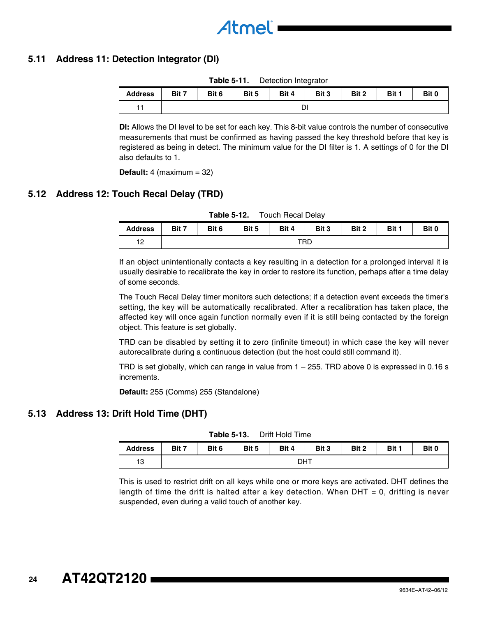# <span id="page-23-0"></span>**5.11 Address 11: Detection Integrator (DI)**

**Table 5-11.** Detection Integrator

| <b>Address</b> | Bit 7 | Bit 6 | Bit 5 | Bit 4 | Bit 3 | Bit 2 | Bit 1 | Bit 0 |
|----------------|-------|-------|-------|-------|-------|-------|-------|-------|
|                |       |       |       | ¬     | וש    |       |       |       |

**DI:** Allows the DI level to be set for each key. This 8-bit value controls the number of consecutive measurements that must be confirmed as having passed the key threshold before that key is registered as being in detect. The minimum value for the DI filter is 1. A settings of 0 for the DI also defaults to 1.

**Default:** 4 (maximum = 32)

# **5.12 Address 12: Touch Recal Delay (TRD)**

| <b>Table 5-12.</b> | <b>Touch Recal Delay</b> |
|--------------------|--------------------------|
|--------------------|--------------------------|

| <b>Address</b> | Bit 7 | Bit 6 | Bit 5 | Bit 4 | Bit 3 | Bit 2 | Bit 1 | Bit 0 |
|----------------|-------|-------|-------|-------|-------|-------|-------|-------|
| 12<br>1 C      |       |       |       |       | TRD   |       |       |       |

If an object unintentionally contacts a key resulting in a detection for a prolonged interval it is usually desirable to recalibrate the key in order to restore its function, perhaps after a time delay of some seconds.

The Touch Recal Delay timer monitors such detections; if a detection event exceeds the timer's setting, the key will be automatically recalibrated. After a recalibration has taken place, the affected key will once again function normally even if it is still being contacted by the foreign object. This feature is set globally.

TRD can be disabled by setting it to zero (infinite timeout) in which case the key will never autorecalibrate during a continuous detection (but the host could still command it).

TRD is set globally, which can range in value from 1 – 255. TRD above 0 is expressed in 0.16 s increments.

**Default:** 255 (Comms) 255 (Standalone)

# <span id="page-23-1"></span>**5.13 Address 13: Drift Hold Time (DHT)**

|                | 1able <b>p</b> -15.<br><b>DIIII HOIG TIITE</b> |       |       |       |       |       |       |       |  |  |  |
|----------------|------------------------------------------------|-------|-------|-------|-------|-------|-------|-------|--|--|--|
| <b>Address</b> | Bit 7                                          | Bit 6 | Bit 5 | Bit 4 | Bit 3 | Bit 2 | Bit 1 | Bit 0 |  |  |  |
| 13             |                                                |       |       |       | DHT   |       |       |       |  |  |  |

**Table 5-13.** Drift Hold Time

This is used to restrict drift on all keys while one or more keys are activated. DHT defines the length of time the drift is halted after a key detection. When DHT = 0, drifting is never suspended, even during a valid touch of another key.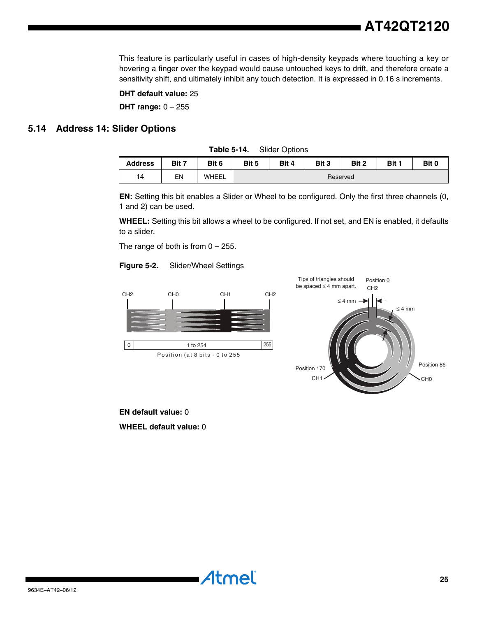**AT42QT2120**

This feature is particularly useful in cases of high-density keypads where touching a key or hovering a finger over the keypad would cause untouched keys to drift, and therefore create a sensitivity shift, and ultimately inhibit any touch detection. It is expressed in 0.16 s increments.

#### **DHT default value:** 25

**DHT range:** 0 – 255

### **5.14 Address 14: Slider Options**

| <b>Address</b> | Bit 7 | Bit 6 | Bit 5    | Bit 4 | Bit 3 | Bit 2 | Bit 1 | Bit 0 |
|----------------|-------|-------|----------|-------|-------|-------|-------|-------|
| 14             | EN    | WHEEL | Reserved |       |       |       |       |       |

**EN:** Setting this bit enables a Slider or Wheel to be configured. Only the first three channels (0, 1 and 2) can be used.

**WHEEL:** Setting this bit allows a wheel to be configured. If not set, and EN is enabled, it defaults to a slider.

The range of both is from  $0 - 255$ .

#### **Figure 5-2.** Slider/Wheel Settings





**EN default value:** 0 **WHEEL default value:** 0

**Atmel**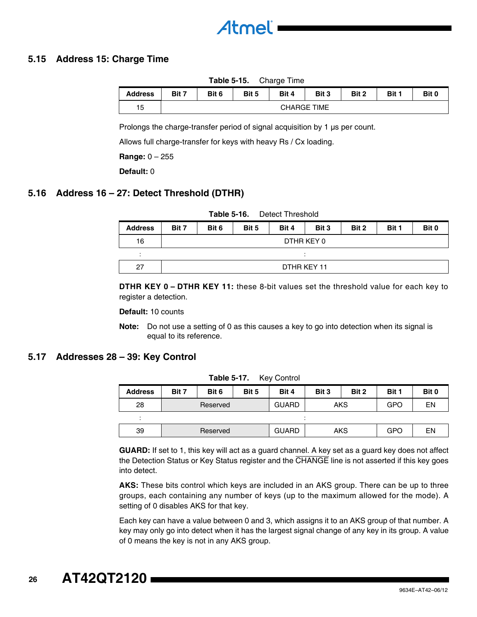# <span id="page-25-1"></span>**5.15 Address 15: Charge Time**

| $1$ uviv $3$ -ivi<br><b>UNDER</b> THE |       |                    |       |       |       |       |       |       |  |
|---------------------------------------|-------|--------------------|-------|-------|-------|-------|-------|-------|--|
| <b>Address</b>                        | Bit 7 | Bit 6              | Bit 5 | Bit 4 | Bit 3 | Bit 2 | Bit 1 | Bit 0 |  |
| 15                                    |       | <b>CHARGE TIME</b> |       |       |       |       |       |       |  |

**Table 5-15.** Charge Time

Prolongs the charge-transfer period of signal acquisition by 1  $\mu$ s per count.

Allows full charge-transfer for keys with heavy Rs / Cx loading.

**Range:** 0 – 255

**Default:** 0

### **5.16 Address 16 – 27: Detect Threshold (DTHR)**

| Table <b>5-To.</b><br>PERCITTIESHON |       |            |       |             |       |       |       |       |  |
|-------------------------------------|-------|------------|-------|-------------|-------|-------|-------|-------|--|
| <b>Address</b>                      | Bit 7 | Bit 6      | Bit 5 | Bit 4       | Bit 3 | Bit 2 | Bit 1 | Bit 0 |  |
| 16                                  |       | DTHR KEY 0 |       |             |       |       |       |       |  |
|                                     |       |            |       |             |       |       |       |       |  |
| 27                                  |       |            |       | DTHR KEY 11 |       |       |       |       |  |
|                                     |       |            |       |             |       |       |       |       |  |

**Table 5-16.** Detect Threshold

**DTHR KEY 0 – DTHR KEY 11:** these 8-bit values set the threshold value for each key to register a detection.

**Default:** 10 counts

**Note:** Do not use a setting of 0 as this causes a key to go into detection when its signal is equal to its reference.

### <span id="page-25-0"></span>**5.17 Addresses 28 – 39: Key Control**

| Table 5-17. Key Control |          |          |       |              |         |       |       |       |  |
|-------------------------|----------|----------|-------|--------------|---------|-------|-------|-------|--|
| <b>Address</b>          | Bit 7    | Bit 6    | Bit 5 | Bit 4        | Bit 3   | Bit 2 | Bit 1 | Bit 0 |  |
| 28                      | Reserved |          |       | <b>GUARD</b> | AKS     |       | GPO   | EN    |  |
|                         |          |          |       |              | $\cdot$ |       |       |       |  |
| 39                      |          | Reserved |       | <b>GUARD</b> |         | AKS   | GPO   | EN    |  |

**GUARD:** If set to 1, this key will act as a guard channel. A key set as a guard key does not affect the Detection Status or Key Status register and the CHANGE line is not asserted if this key goes into detect.

**AKS:** These bits control which keys are included in an AKS group. There can be up to three groups, each containing any number of keys (up to the maximum allowed for the mode). A setting of 0 disables AKS for that key.

Each key can have a value between 0 and 3, which assigns it to an AKS group of that number. A key may only go into detect when it has the largest signal change of any key in its group. A value of 0 means the key is not in any AKS group.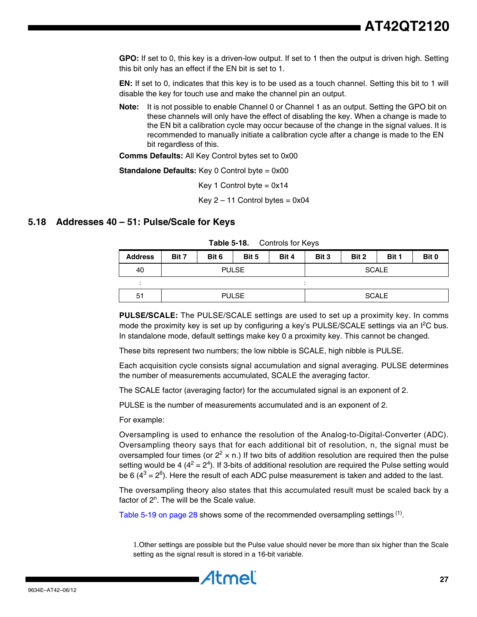**GPO:** If set to 0, this key is a driven-low output. If set to 1 then the output is driven high. Setting this bit only has an effect if the EN bit is set to 1.

**EN:** If set to 0, indicates that this key is to be used as a touch channel. Setting this bit to 1 will disable the key for touch use and make the channel pin an output.

**Note:** It is not possible to enable Channel 0 or Channel 1 as an output. Setting the GPO bit on these channels will only have the effect of disabling the key. When a change is made to the EN bit a calibration cycle may occur because of the change in the signal values. It is recommended to manually initiate a calibration cycle after a change is made to the EN bit regardless of this.

**Comms Defaults:** All Key Control bytes set to 0x00

**Standalone Defaults:** Key 0 Control byte = 0x00

Key 1 Control byte  $= 0x14$ 

Key  $2 - 11$  Control bytes =  $0x04$ 

#### <span id="page-26-0"></span>**5.18 Addresses 40 – 51: Pulse/Scale for Keys**

| <b>Address</b> | Bit 7 | Bit 6 | Bit 5        | Bit 4 | Bit 3        | Bit 2 | Bit 1 | Bit 0 |  |
|----------------|-------|-------|--------------|-------|--------------|-------|-------|-------|--|
| 40             |       |       | <b>PULSE</b> |       | <b>SCALE</b> |       |       |       |  |
| . .            |       |       |              |       |              |       |       |       |  |
| 51             |       |       | <b>PULSE</b> |       | <b>SCALE</b> |       |       |       |  |

**PULSE/SCALE:** The PULSE/SCALE settings are used to set up a proximity key. In comms mode the proximity key is set up by configuring a key's PULSE/SCALE settings via an l<sup>2</sup>C bus. In standalone mode, default settings make key 0 a proximity key. This cannot be changed.

These bits represent two numbers; the low nibble is SCALE, high nibble is PULSE.

Each acquisition cycle consists signal accumulation and signal averaging. PULSE determines the number of measurements accumulated, SCALE the averaging factor.

The SCALE factor (averaging factor) for the accumulated signal is an exponent of 2.

PULSE is the number of measurements accumulated and is an exponent of 2.

#### For example:

Oversampling is used to enhance the resolution of the Analog-to-Digital-Converter (ADC). Oversampling theory says that for each additional bit of resolution, n, the signal must be oversampled four times (or  $2^2 \times$  n.) If two bits of addition resolution are required then the pulse setting would be 4 ( $4^2$  =  $2^4$ ). If 3-bits of additional resolution are required the Pulse setting would be 6  $(4^3 = 2^6)$ . Here the result of each ADC pulse measurement is taken and added to the last.

The oversampling theory also states that this accumulated result must be scaled back by a factor of 2<sup>n</sup>. The will be the Scale value.

Table [5-19 on page](#page-27-0) 28 shows some of the recommended oversampling settings  $(1)$ .

1.Other settings are possible but the Pulse value should never be more than six higher than the Scale setting as the signal result is stored in a 16-bit variable.

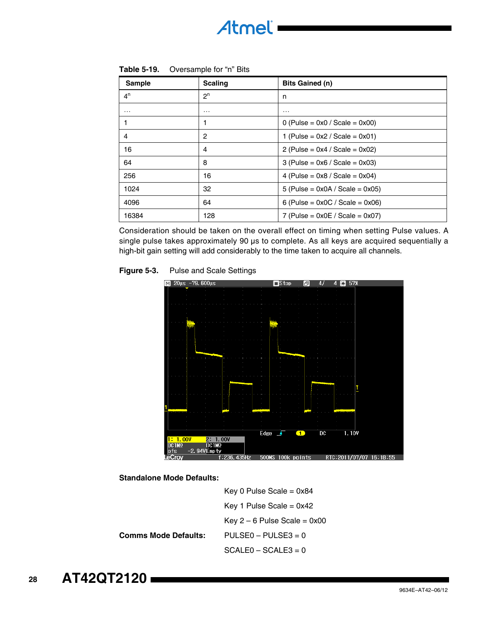| .<br>$\sim$    |                |                                       |  |  |  |  |
|----------------|----------------|---------------------------------------|--|--|--|--|
| Sample         | <b>Scaling</b> | <b>Bits Gained (n)</b>                |  |  |  |  |
| 4 <sup>n</sup> | 2 <sup>n</sup> | n                                     |  |  |  |  |
| $\cdots$       | $\cdots$       | $\cdots$                              |  |  |  |  |
|                |                | $0$ (Pulse = $0x0 /$ Scale = $0x00$ ) |  |  |  |  |
| 4              | 2              | 1 (Pulse = $0x2 /$ Scale = $0x01$ )   |  |  |  |  |
| 16             | 4              | 2 (Pulse = $0x4 /$ Scale = $0x02$ )   |  |  |  |  |
| 64             | 8              | $3$ (Pulse = 0x6 / Scale = 0x03)      |  |  |  |  |
| 256            | 16             | 4 (Pulse = $0x8 /$ Scale = $0x04$ )   |  |  |  |  |
| 1024           | 32             | $5$ (Pulse = 0x0A / Scale = 0x05)     |  |  |  |  |
| 4096           | 64             | 6 (Pulse = $0x0C /$ Scale = $0x06$ )  |  |  |  |  |
| 16384          | 128            | 7 (Pulse = $0x0E /$ Scale = $0x07$ )  |  |  |  |  |

<span id="page-27-0"></span>**Table 5-19.** Oversample for "n" Bits

Consideration should be taken on the overall effect on timing when setting Pulse values. A single pulse takes approximately 90 µs to complete. As all keys are acquired sequentially a high-bit gain setting will add considerably to the time taken to acquire all channels.





**Standalone Mode Defaults:**

|                             | Key 0 Pulse Scale = $0x84$       |
|-----------------------------|----------------------------------|
|                             | Key 1 Pulse Scale = $0x42$       |
|                             | Key $2 - 6$ Pulse Scale = $0x00$ |
| <b>Comms Mode Defaults:</b> | $PULSE0 - PULSE3 = 0$            |
|                             | $SCALE0 - SCALE3 = 0$            |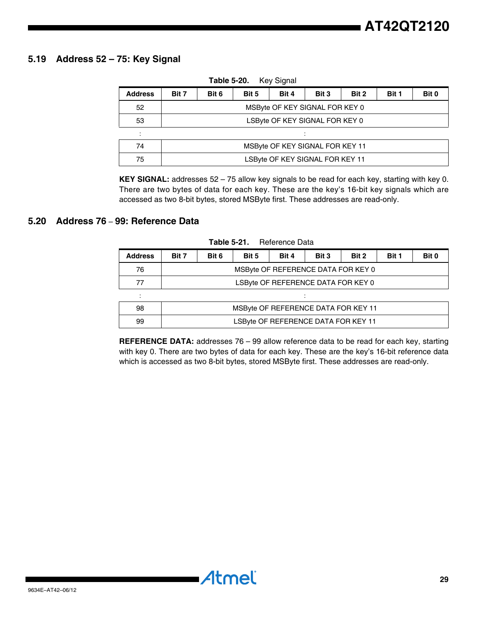# **5.19 Address 52 – 75: Key Signal**

| Table 5-20.<br><b>Rev Signal</b> |                                |                                 |       |       |                                 |       |       |       |  |
|----------------------------------|--------------------------------|---------------------------------|-------|-------|---------------------------------|-------|-------|-------|--|
| <b>Address</b>                   | Bit 7                          | Bit 6                           | Bit 5 | Bit 4 | Bit 3                           | Bit 2 | Bit 1 | Bit 0 |  |
| 52                               | MSByte OF KEY SIGNAL FOR KEY 0 |                                 |       |       |                                 |       |       |       |  |
| 53                               | LSByte OF KEY SIGNAL FOR KEY 0 |                                 |       |       |                                 |       |       |       |  |
|                                  |                                |                                 |       |       |                                 |       |       |       |  |
| 74                               |                                | MSByte OF KEY SIGNAL FOR KEY 11 |       |       |                                 |       |       |       |  |
| 75                               |                                |                                 |       |       | LSByte OF KEY SIGNAL FOR KEY 11 |       |       |       |  |

**Table 5-20.** Key Signal

**KEY SIGNAL:** addresses 52 – 75 allow key signals to be read for each key, starting with key 0. There are two bytes of data for each key. These are the key's 16-bit key signals which are accessed as two 8-bit bytes, stored MSByte first. These addresses are read-only.

### **5.20 Address 76** – **99: Reference Data**

| Table 5-21. Reference Data |                                    |                                     |                                     |       |       |       |       |       |  |  |
|----------------------------|------------------------------------|-------------------------------------|-------------------------------------|-------|-------|-------|-------|-------|--|--|
| <b>Address</b>             | Bit 7                              | Bit 6                               | Bit 5                               | Bit 4 | Bit 3 | Bit 2 | Bit 1 | Bit 0 |  |  |
| 76                         | MSByte OF REFERENCE DATA FOR KEY 0 |                                     |                                     |       |       |       |       |       |  |  |
| 77                         | LSByte OF REFERENCE DATA FOR KEY 0 |                                     |                                     |       |       |       |       |       |  |  |
|                            |                                    |                                     |                                     |       |       |       |       |       |  |  |
| 98                         |                                    | MSByte OF REFERENCE DATA FOR KEY 11 |                                     |       |       |       |       |       |  |  |
| 99                         |                                    |                                     | LSByte OF REFERENCE DATA FOR KEY 11 |       |       |       |       |       |  |  |

**REFERENCE DATA:** addresses 76 – 99 allow reference data to be read for each key, starting with key 0. There are two bytes of data for each key. These are the key's 16-bit reference data which is accessed as two 8-bit bytes, stored MSByte first. These addresses are read-only.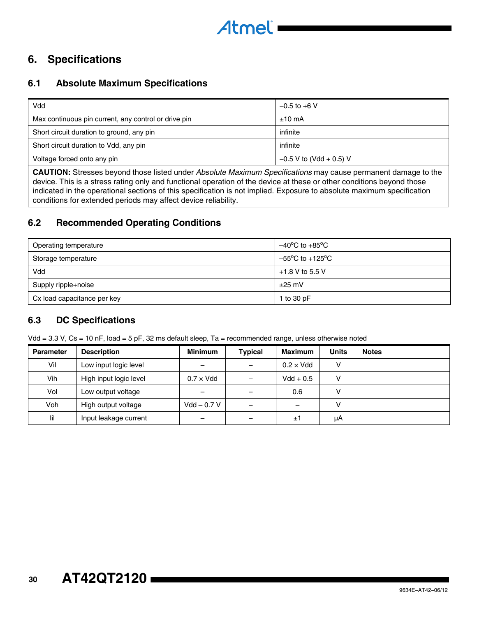

# **6. Specifications**

# **6.1 Absolute Maximum Specifications**

| Vdd                                                  | $-0.5$ to $+6$ V          |  |  |
|------------------------------------------------------|---------------------------|--|--|
| Max continuous pin current, any control or drive pin | $±10$ mA                  |  |  |
| Short circuit duration to ground, any pin            | infinite                  |  |  |
| Short circuit duration to Vdd, any pin               | infinite                  |  |  |
| Voltage forced onto any pin                          | $-0.5$ V to (Vdd + 0.5) V |  |  |

**CAUTION:** Stresses beyond those listed under *Absolute Maximum Specifications* may cause permanent damage to the device. This is a stress rating only and functional operation of the device at these or other conditions beyond those indicated in the operational sections of this specification is not implied. Exposure to absolute maximum specification conditions for extended periods may affect device reliability.

# <span id="page-29-0"></span>**6.2 Recommended Operating Conditions**

| Operating temperature       | $-40^{\circ}$ C to $+85^{\circ}$ C  |
|-----------------------------|-------------------------------------|
| Storage temperature         | $-55^{\circ}$ C to $+125^{\circ}$ C |
| Vdd                         | $+1.8$ V to 5.5 V                   |
| Supply ripple+noise         | $\pm 25$ mV                         |
| Cx load capacitance per key | 1 to 30 $pF$                        |

# **6.3 DC Specifications**

| <b>Parameter</b> | <b>Description</b>     | <b>Minimum</b>    | <b>Typical</b> | <b>Maximum</b>    | <b>Units</b> | <b>Notes</b> |
|------------------|------------------------|-------------------|----------------|-------------------|--------------|--------------|
| Vil              | Low input logic level  |                   |                | $0.2 \times V$ dd | v            |              |
| Vih              | High input logic level | $0.7 \times V$ dd |                | $Vdd + 0.5$       |              |              |
| Vol              | Low output voltage     |                   |                | 0.6               |              |              |
| Voh              | High output voltage    | $Vdd - 0.7 V$     |                |                   |              |              |
| lil              | Input leakage current  |                   |                | ±1                | μA           |              |

Vdd = 3.3 V, Cs = 10 nF, load = 5 pF, 32 ms default sleep, Ta = recommended range, unless otherwise noted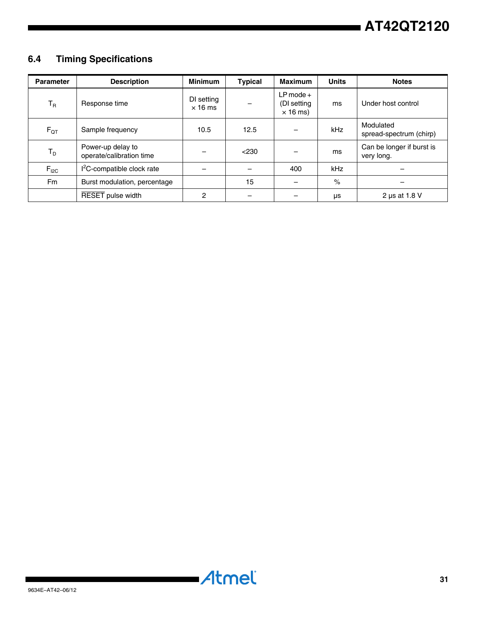# **6.4 Timing Specifications**

| <b>Parameter</b> | <b>Description</b>                            | <b>Minimum</b>               | <b>Typical</b> | <b>Maximum</b>                                | <b>Units</b> | <b>Notes</b>                            |
|------------------|-----------------------------------------------|------------------------------|----------------|-----------------------------------------------|--------------|-----------------------------------------|
| $T_R$            | Response time                                 | DI setting<br>$\times$ 16 ms |                | $LP$ mode +<br>(DI setting<br>$\times$ 16 ms) | ms           | Under host control                      |
| $F_{\text{QT}}$  | Sample frequency                              | 10.5                         | 12.5           |                                               | kHz          | Modulated<br>spread-spectrum (chirp)    |
| $T_D$            | Power-up delay to<br>operate/calibration time |                              | < 230          |                                               | ms           | Can be longer if burst is<br>very long. |
| $F_{12C}$        | $l^2C$ -compatible clock rate                 |                              |                | 400                                           | kHz          |                                         |
| Fm               | Burst modulation, percentage                  |                              | 15             |                                               | $\%$         |                                         |
|                  | <b>RESET</b> pulse width                      |                              |                |                                               | μs           | 2 us at 1.8 V                           |

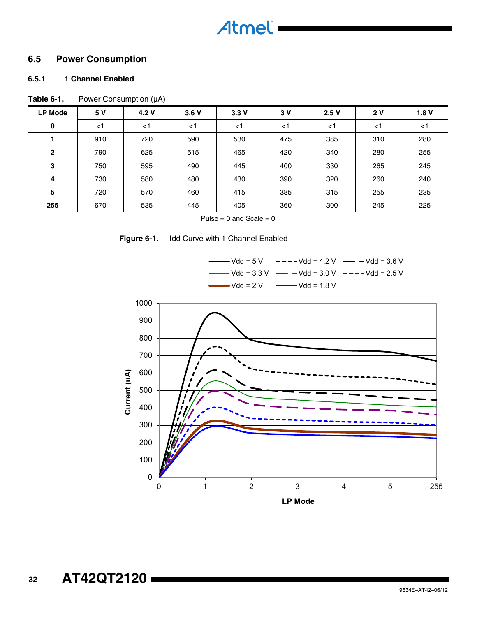# **6.5 Power Consumption**

### **6.5.1 1 Channel Enabled**

### Table 6-1. Power Consumption ( $\mu$ A)

| <b>LP Mode</b> | 5 V   | 4.2 V | 3.6V  | 3.3V  | 3V    | 2.5V  | 2 V   | 1.8V  |
|----------------|-------|-------|-------|-------|-------|-------|-------|-------|
| 0              | $<$ 1 | $<$ 1 | $<$ 1 | $<$ 1 | $<$ 1 | $<$ 1 | $<$ 1 | $<$ 1 |
|                | 910   | 720   | 590   | 530   | 475   | 385   | 310   | 280   |
| $\overline{2}$ | 790   | 625   | 515   | 465   | 420   | 340   | 280   | 255   |
| 3              | 750   | 595   | 490   | 445   | 400   | 330   | 265   | 245   |
| 4              | 730   | 580   | 480   | 430   | 390   | 320   | 260   | 240   |
| 5              | 720   | 570   | 460   | 415   | 385   | 315   | 255   | 235   |
| 255            | 670   | 535   | 445   | 405   | 360   | 300   | 245   | 225   |

Pulse  $= 0$  and Scale  $= 0$ 





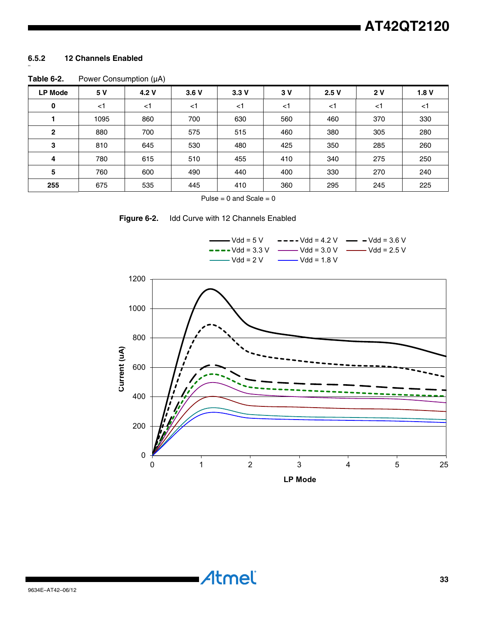#### **6.5.2 12 Channels Enabled**

**Table 6-2.** Power Consumption (µA)

| <b>LP Mode</b> | 5 V   | 4.2 V | 3.6V  | 3.3V | 3 V   | 2.5V | 2V    | 1.8V |
|----------------|-------|-------|-------|------|-------|------|-------|------|
| $\bf{0}$       | $<$ 1 | $<$ 1 | $<$ 1 | <1   | $<$ 1 | <1   | $<$ 1 | <1   |
|                | 1095  | 860   | 700   | 630  | 560   | 460  | 370   | 330  |
| $\mathbf{2}$   | 880   | 700   | 575   | 515  | 460   | 380  | 305   | 280  |
| 3              | 810   | 645   | 530   | 480  | 425   | 350  | 285   | 260  |
| 4              | 780   | 615   | 510   | 455  | 410   | 340  | 275   | 250  |
| 5              | 760   | 600   | 490   | 440  | 400   | 330  | 270   | 240  |
| 255            | 675   | 535   | 445   | 410  | 360   | 295  | 245   | 225  |

Pulse  $= 0$  and Scale  $= 0$ 

**Atmel** 





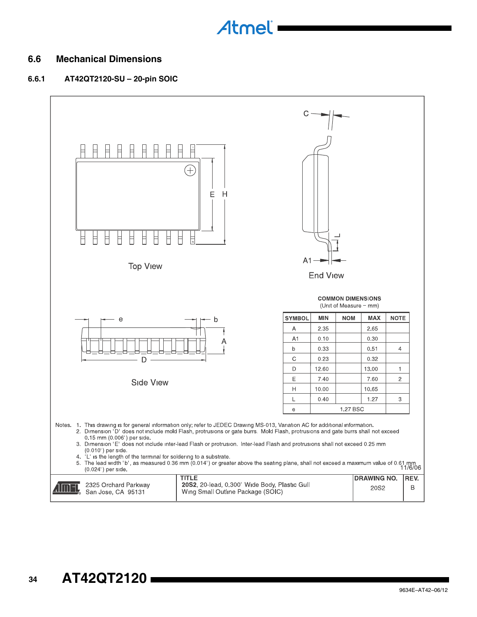### **6.6 Mechanical Dimensions**

#### **6.6.1 AT42QT2120-SU – 20-pin SOIC**

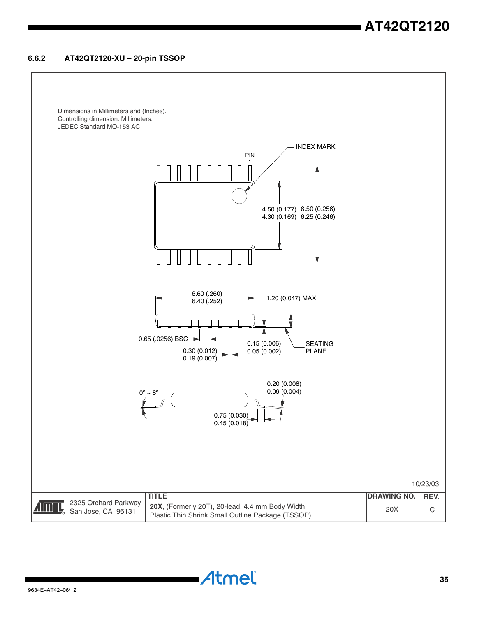#### **6.6.2 AT42QT2120-XU – 20-pin TSSOP**

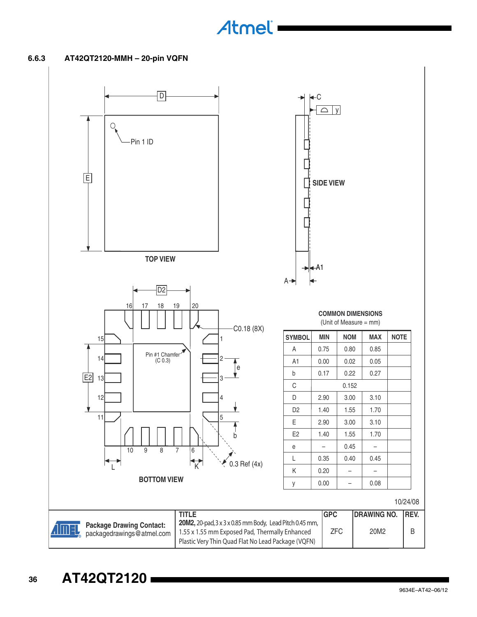**6.6.3 AT42QT2120-MMH – 20-pin VQFN** 



**AT42QT2120**

**36**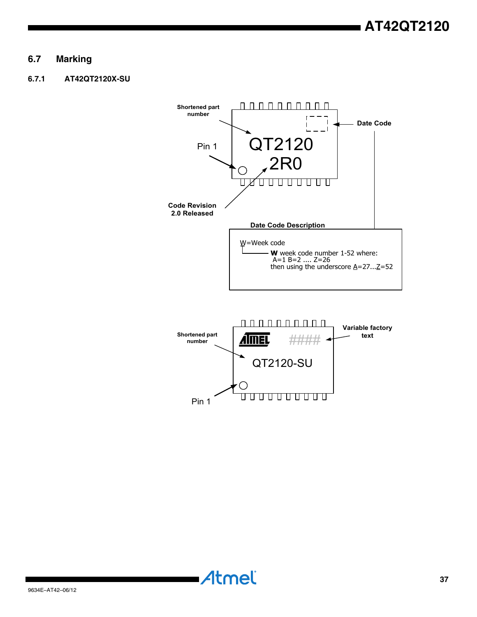# **6.7 Marking**

#### **6.7.1 AT42QT2120X-SU**

![](_page_36_Figure_3.jpeg)

Pin 1

⌒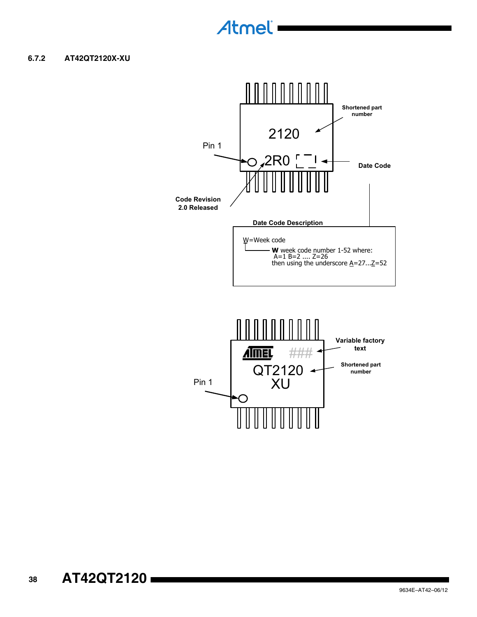#### **6.7.2 AT42QT2120X-XU**

![](_page_37_Figure_2.jpeg)

![](_page_37_Figure_3.jpeg)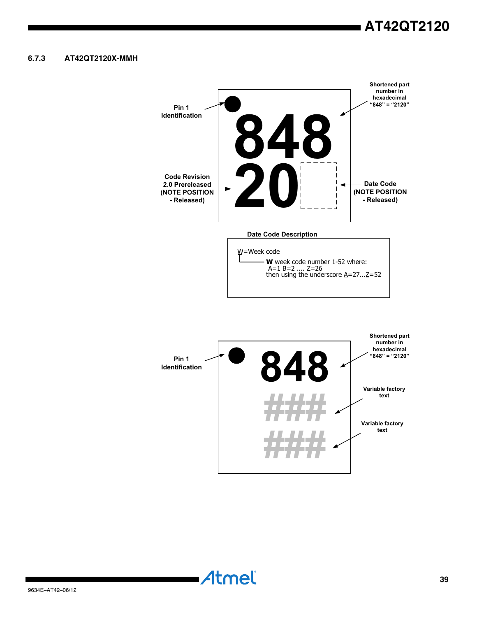#### **6.7.3 AT42QT2120X-MMH**

![](_page_38_Figure_2.jpeg)

![](_page_38_Figure_3.jpeg)

![](_page_38_Picture_4.jpeg)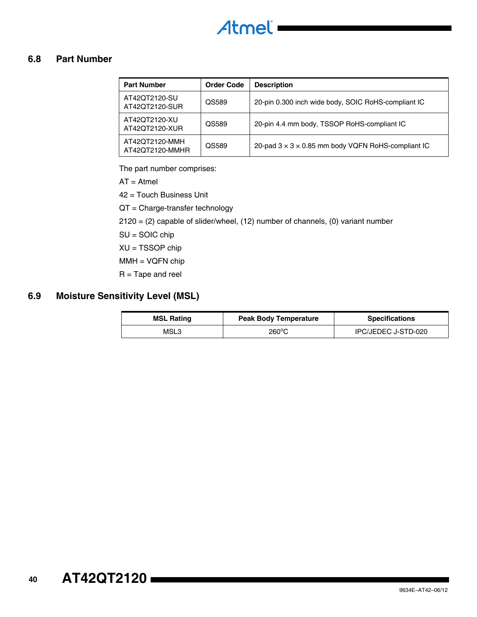![](_page_39_Picture_0.jpeg)

# **6.8 Part Number**

| <b>Part Number</b>                | <b>Order Code</b> | <b>Description</b>                                             |
|-----------------------------------|-------------------|----------------------------------------------------------------|
| AT42QT2120-SU<br>AT42QT2120-SUR   | QS589             | 20-pin 0.300 inch wide body, SOIC RoHS-compliant IC            |
| AT42QT2120-XU<br>AT42QT2120-XUR   | QS589             | 20-pin 4.4 mm body, TSSOP RoHS-compliant IC                    |
| AT42QT2120-MMH<br>AT42OT2120-MMHR | QS589             | 20-pad $3 \times 3 \times 0.85$ mm body VQFN RoHS-compliant IC |

The part number comprises:

AT = Atmel

42 = Touch Business Unit

QT = Charge-transfer technology

2120 = (2) capable of slider/wheel, (12) number of channels, (0) variant number

SU = SOIC chip

XU = TSSOP chip

MMH = VQFN chip

 $R =$ Tape and reel

# **6.9 Moisture Sensitivity Level (MSL)**

| <b>MSL Rating</b> | <b>Peak Body Temperature</b> | <b>Specifications</b> |
|-------------------|------------------------------|-----------------------|
| MSL3              | $260^{\circ}$ C              | IPC/JEDEC J-STD-020   |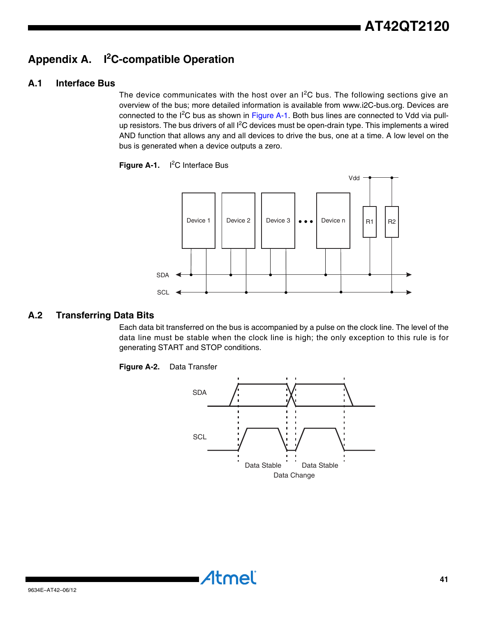# <span id="page-40-0"></span>**Appendix A. I2 C-compatible Operation**

### **A.1 Interface Bus**

The device communicates with the host over an  $I<sup>2</sup>C$  bus. The following sections give an overview of the bus; more detailed information is available from www.i2C-bus.org. Devices are connected to the I<sup>2</sup>C bus as shown in [Figure A-1.](#page-40-1) Both bus lines are connected to Vdd via pullup resistors. The bus drivers of all  $l^2C$  devices must be open-drain type. This implements a wired AND function that allows any and all devices to drive the bus, one at a time. A low level on the bus is generated when a device outputs a zero.

![](_page_40_Figure_4.jpeg)

<span id="page-40-1"></span>![](_page_40_Figure_5.jpeg)

### **A.2 Transferring Data Bits**

Each data bit transferred on the bus is accompanied by a pulse on the clock line. The level of the data line must be stable when the clock line is high; the only exception to this rule is for generating START and STOP conditions.

#### **Figure A-2.** Data Transfer

![](_page_40_Figure_9.jpeg)

• Atmel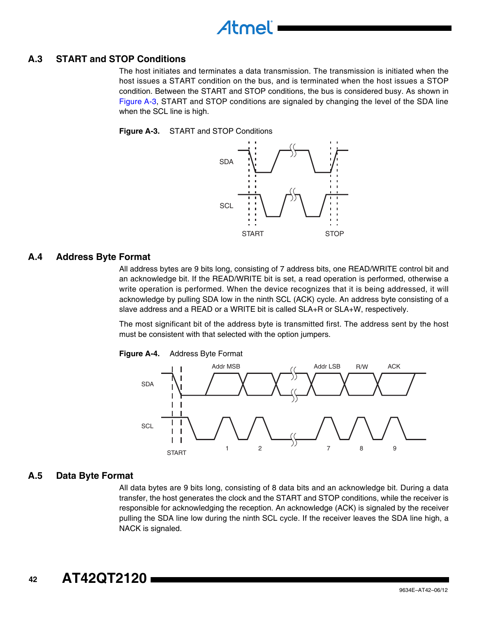# **A.3 START and STOP Conditions**

The host initiates and terminates a data transmission. The transmission is initiated when the host issues a START condition on the bus, and is terminated when the host issues a STOP condition. Between the START and STOP conditions, the bus is considered busy. As shown in [Figure A-3,](#page-41-0) START and STOP conditions are signaled by changing the level of the SDA line when the SCL line is high.

Atmel

<span id="page-41-0"></span>**Figure A-3.** START and STOP Conditions

![](_page_41_Figure_3.jpeg)

#### **A.4 Address Byte Format**

All address bytes are 9 bits long, consisting of 7 address bits, one READ/WRITE control bit and an acknowledge bit. If the READ/WRITE bit is set, a read operation is performed, otherwise a write operation is performed. When the device recognizes that it is being addressed, it will acknowledge by pulling SDA low in the ninth SCL (ACK) cycle. An address byte consisting of a slave address and a READ or a WRITE bit is called SLA+R or SLA+W, respectively.

The most significant bit of the address byte is transmitted first. The address sent by the host must be consistent with that selected with the option jumpers.

![](_page_41_Figure_7.jpeg)

#### **Figure A-4.** Address Byte Format

### **A.5 Data Byte Format**

All data bytes are 9 bits long, consisting of 8 data bits and an acknowledge bit. During a data transfer, the host generates the clock and the START and STOP conditions, while the receiver is responsible for acknowledging the reception. An acknowledge (ACK) is signaled by the receiver pulling the SDA line low during the ninth SCL cycle. If the receiver leaves the SDA line high, a NACK is signaled.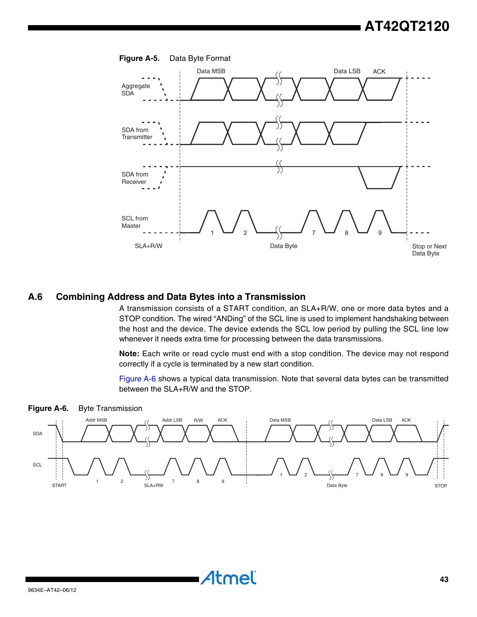# **AT42QT2120**

![](_page_42_Figure_1.jpeg)

#### **Figure A-5.** Data Byte Format

#### **A.6 Combining Address and Data Bytes into a Transmission**

A transmission consists of a START condition, an SLA+R/W, one or more data bytes and a STOP condition. The wired "ANDing" of the SCL line is used to implement handshaking between the host and the device. The device extends the SCL low period by pulling the SCL line low whenever it needs extra time for processing between the data transmissions.

**Note:** Each write or read cycle must end with a stop condition. The device may not respond correctly if a cycle is terminated by a new start condition.

[Figure A-6](#page-42-0) shows a typical data transmission. Note that several data bytes can be transmitted between the SLA+R/W and the STOP.

<span id="page-42-0"></span>![](_page_42_Figure_7.jpeg)

Atmel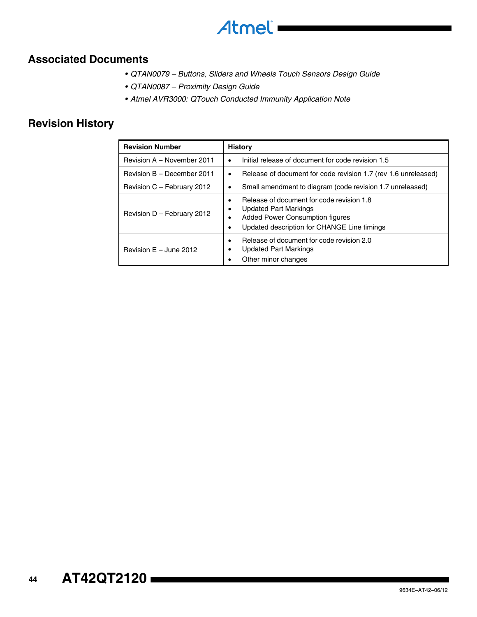![](_page_43_Picture_0.jpeg)

# **Associated Documents**

- *QTAN0079 Buttons, Sliders and Wheels Touch Sensors Design Guide*
- *QTAN0087 Proximity Design Guide*
- *Atmel AVR3000: QTouch Conducted Immunity Application Note*

# **Revision History**

| <b>Revision Number</b>     | <b>History</b>                                                                                                                                                     |
|----------------------------|--------------------------------------------------------------------------------------------------------------------------------------------------------------------|
| Revision A - November 2011 | Initial release of document for code revision 1.5                                                                                                                  |
| Revision B - December 2011 | Release of document for code revision 1.7 (rev 1.6 unreleased)                                                                                                     |
| Revision C - February 2012 | Small amendment to diagram (code revision 1.7 unreleased)                                                                                                          |
| Revision D - February 2012 | Release of document for code revision 1.8<br><b>Updated Part Markings</b><br><b>Added Power Consumption figures</b><br>Updated description for CHANGE Line timings |
| Revision $E -$ June 2012   | Release of document for code revision 2.0<br><b>Updated Part Markings</b><br>Other minor changes                                                                   |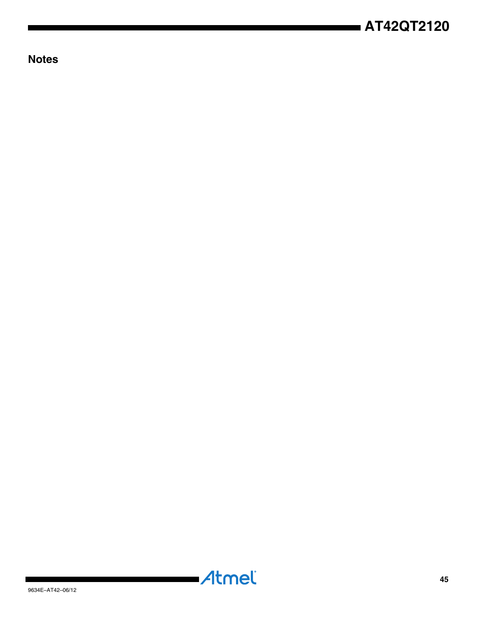**Notes**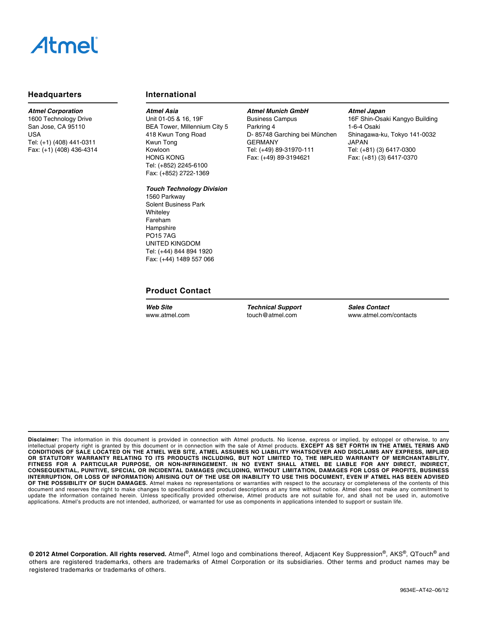#### **Headquarters International**

*Atmel Corporation* 1600 Technology Drive San Jose, CA 95110 USA Tel: (+1) (408) 441-0311 Fax: (+1) (408) 436-4314

#### *Atmel Asia*

Unit 01-05 & 16, 19F BEA Tower, Millennium City 5 418 Kwun Tong Road Kwun Tong Kowloon HONG KONG Tel: (+852) 2245-6100 Fax: (+852) 2722-1369

#### *Touch Technology Division*

1560 Parkway Solent Business Park **Whitelev** Fareham Hampshire PO15 7AG UNITED KINGDOM Tel: (+44) 844 894 1920 Fax: (+44) 1489 557 066

#### *Atmel Munich GmbH*

Business Campus Parkring 4 D- 85748 Garching bei München GERMANY Tel: (+49) 89-31970-111 Fax: (+49) 89-3194621

#### *Atmel Japan*

16F Shin-Osaki Kangyo Building 1-6-4 Osaki Shinagawa-ku, Tokyo 141-0032 JAPAN Tel: (+81) (3) 6417-0300 Fax: (+81) (3) 6417-0370

#### **Product Contact**

*Web Site* www.atmel.com

*Technical Support* touch@atmel.com

*Sales Contact* www.atmel.com/contacts

**Disclaimer:** The information in this document is provided in connection with Atmel products. No license, express or implied, by estoppel or otherwise, to any intellectual property right is granted by this document or in connection with the sale of Atmel products. **EXCEPT AS SET FORTH IN THE ATMEL TERMS AND CONDITIONS OF SALE LOCATED ON THE ATMEL WEB SITE, ATMEL ASSUMES NO LIABILITY WHATSOEVER AND DISCLAIMS ANY EXPRESS, IMPLIED** OR STATUTORY WARRANTY RELATING TO ITS PRODUCTS INCLUDING, BUT NOT LIMITED TO, THE IMPLIED WARRANTY OF MERCHANTABILITY,<br>FITNESS FOR A PARTICULAR PURPOSE, OR NON-INFRINGEMENT. IN NO EVENT SHALL ATMEL BE LIABLE FOR ANY DIRECT **CONSEQUENTIAL, PUNITIVE, SPECIAL OR INCIDENTAL DAMAGES (INCLUDING, WITHOUT LIMITATION, DAMAGES FOR LOSS OF PROFITS, BUSINESS INTERRUPTION, OR LOSS OF INFORMATION) ARISING OUT OF THE USE OR INABILITY TO USE THIS DOCUMENT, EVEN IF ATMEL HAS BEEN ADVISED OF THE POSSIBILITY OF SUCH DAMAGES.** Atmel makes no representations or warranties with respect to the accuracy or completeness of the contents of this document and reserves the right to make changes to specifications and product descriptions at any time without notice. Atmel does not make any commitment to update the information contained herein. Unless specifically provided otherwise, Atmel products are not suitable for, and shall not be used in, automotive applications. Atmel's products are not intended, authorized, or warranted for use as components in applications intended to support or sustain life.

**© 2012 Atmel Corporation. All rights reserved.** Atmel®, Atmel logo and combinations thereof, Adjacent Key Suppression®, AKS®, QTouch® and others are registered trademarks, others are trademarks of Atmel Corporation or its subsidiaries. Other terms and product names may be registered trademarks or trademarks of others.